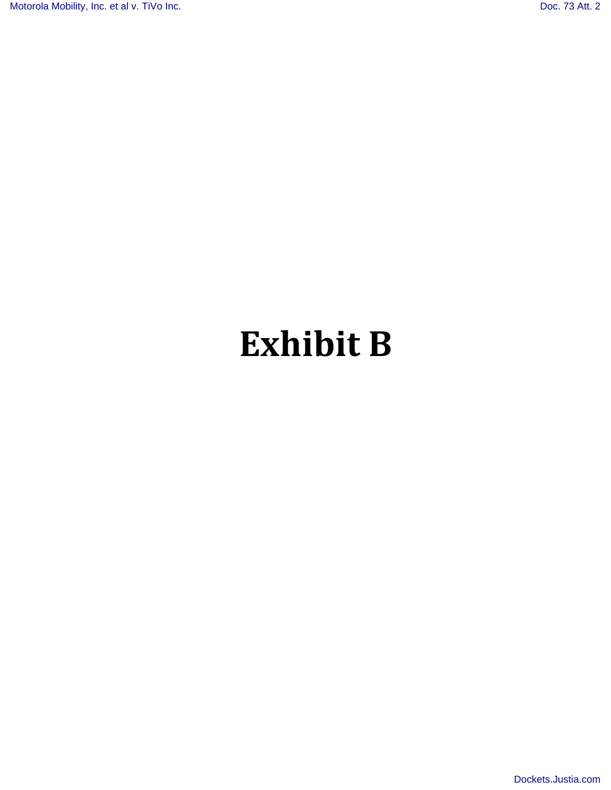# **Exhibit B**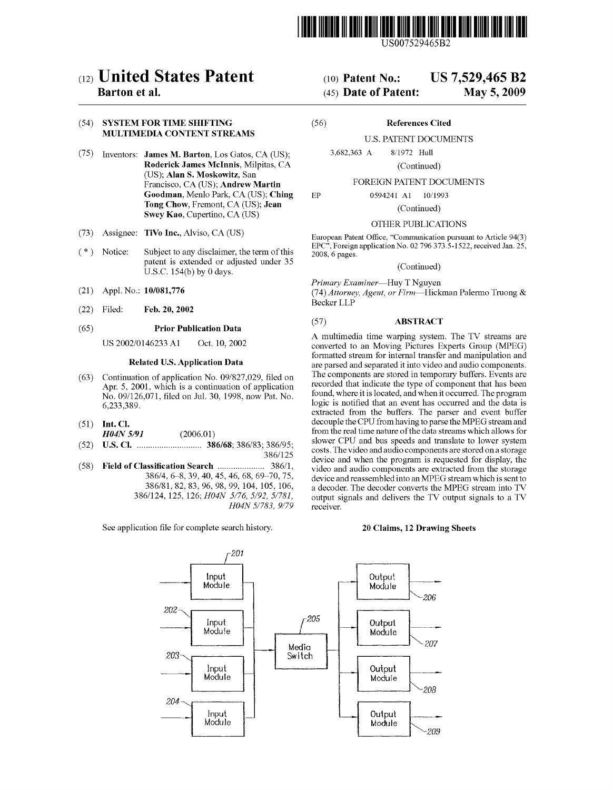

US007529465B2

## (12) **United States Patent** (10) **Patent NO.:** US **7,529,465 B2**

## **SYSTEM FOR TIME SHIFTING MULTIMEDIA CONTENT STREAMS**

- Inventors: **James M. Barton,** Los Gatos, CA (US); **Roderick James McInnis,** Milpitas, CA (US); **Alan S. Moskowitz,** San Francisco, CA (US); **Andrew Martin Goodman,** Menlo Park, CA (US); **Ching Tong Chow,** Fremont, CA (US); **Jean Swey Kao,** Cupertino, CA (US)
- Assignee: **TiVo Inc.,** Alviso, CA (US)  $(73)$
- Notice: Subject to any disclaimer, the term of this  $(* )$ patent is extended or adjusted under 35 U.S.C. 154(b) by 0 days.
- $(21)$ Appl. No.: 10/081,776
- $(22)$ Filed: **Feb.** 20,2002

#### $(65)$ **Prior Publication Data**

US 200210146233 A1 Oct. 10.2002

## **Related U.S. Application Data**

- $(63)$ Continuation of application No. 09/827,029, filed on Apr. 5, 2001, which is a continuation of application No. 091126,071, filed on Jul. 30, 1998, now Pat. No. 6,233,389.
- **Int. C1.**
- *H04N* **5/91** (2006.01)  $(52)$ **U.S. C1.** ............................. 386168; 386183; 386195;
- $(58)$ Field of Classification Search .......................... 386/1, 38614, 6-8,39, 40, 45, 46, 68, 69-70,75, 386181, 82, 83, 96, 98, 99, 104, 105, 106, 3861124, 125, 126; *H04N 5/76, 5/92, 5/781, H04N 5/783, 9/79*

See application file for complete search history.

## **(45) Date of Patent:**

#### (56) **References Cited**

## U.S. PATENT DOCUMENTS

3,682,363 A 811972 Hull

0594241 A1

(Continued)

#### FOREIGN PATENT DOCUMENTS

10/1993

 $EP$ 

(Continued)

#### OTHER PUBLICATIONS

European Patent Office, "Communication pursuant to Article 94(3) EPC", Foreign application No. 02 796 373.5-1522, received Jan.  $25$ , 2008, 6 pages.

(Continued)

Primary Examiner-Huy T Nguyen (74) Attorney, Agent, or Firm-Hickman Palermo Truong  $\&$ Becker LLP

#### (57) **ABSTRACT**

A multimedia time warping system. The TV streams are converted to an Moving Pictures Experts Group (MPEG) formatted stream for internal transfer and manipulation and are parsed and separated it into video and audio components. The components are stored in temporary buffers. Events are recorded that indicate the type of component that has been found, where it is located, and when it occurred. The program logic is notified that an event has occurred and the data is extracted from the buffers. The parser and event buffer decouple the CPU from having to parse the MPEG stream and from the real time nature of the data streams which allows for slower CPU and bus speeds and translate to lower system costs. Thevideo andaudio components are stored ona storage device and when the program is requested for display, the video and audio components are extracted from the storage device and reassembled into an MPEG stream which is sent to a decoder. The decoder converts the MPEG stream into TV output signals and delivers the TV output signals to a TV receiver.

#### 20 **Claims,** 12 **Drawing Sheets**



3861125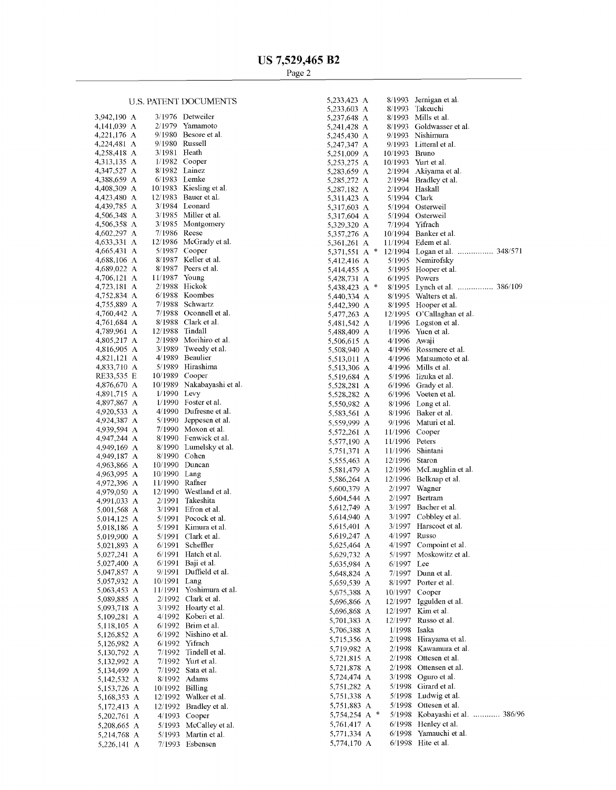## U.S. PATENT DOCUMENTS

| 3,942,190<br>A | 3/1976  | Detweiler          |
|----------------|---------|--------------------|
| 4,141,039<br>А | 2/1979  | Yamamoto           |
| 4,221,176<br>А | 9/1980  | Besore et al.      |
| А<br>4,224,481 | 9/1980  | Russell            |
| A<br>4,258,418 | 3/1981  | Heath              |
| A              | 1/1982  | Cooper             |
| 4,313,135      |         |                    |
| 4,347,527<br>A | 8/1982  | Lainez             |
| A<br>4,388,659 | 6/1983  | Lemke              |
| A<br>4,408,309 | 10/1983 | Kiesling et al.    |
| 4,423,480<br>A | 12/1983 | Bauer et al.       |
| А<br>4,439,785 | 3/1984  | Leonard            |
| 4,506,348<br>A | 3/1985  | Miller et al.      |
| 4,506,358<br>А | 3/1985  | Montgomery         |
| 4,602,297<br>А | 7/1986  | Reese              |
| 4,633,331<br>А | 12/1986 | McGrady et al.     |
| A<br>4,665,431 | 5/1987  | Cooper             |
| 4,688,106<br>А | 8/1987  | Keller et al.      |
| A<br>4,689,022 | 8/1987  | Peers et al.       |
| 4,706,121<br>А | 11/1987 | Young              |
| A              | 2/1988  | Hickok             |
| 4,723,181<br>A | 6/1988  | Koombes            |
| 4,752,834      | 7/1988  |                    |
| A<br>4,755,889 |         | Schwartz           |
| A<br>4,760,442 | 7/1988  | Oconnell et al.    |
| A<br>4,761,684 | 8/1988  | Clark et al.       |
| A<br>4,789,961 | 12/1988 | Tindall            |
| A<br>4,805,217 | 2/1989  | Morihiro et al.    |
| 4,816,905<br>А | 3/1989  | Tweedy et al.      |
| 4,821,121<br>А | 4/1989  | Beaulier           |
| A<br>4,833,710 | 5/1989  | Hirashima          |
| Ε<br>RE33,535  | 10/1989 | Cooper             |
| А<br>4,876,670 | 10/1989 | Nakabayashi et al. |
| A<br>4,891,715 | 1/1990  | Levy               |
| 4,897,867<br>A | 1/1990  | Foster et al.      |
| 4,920,533<br>А | 4/1990  | Dufresne et al.    |
| A<br>4,924,387 | 5/1990  | Jeppesen et al.    |
| 4,939,594<br>А | 7/1990  | Moxon et al.       |
| A              | 8/1990  | Fenwick et al.     |
| 4,947,244      |         |                    |
| 4,949,169<br>A | 8/1990  | Lumelsky et al.    |
| 4,949,187<br>А | 8/1990  | Cohen              |
| 4,963,866<br>А | 10/1990 | Duncan             |
| 4,963,995<br>А | 10/1990 | Lang               |
| A<br>4,972,396 | 11/1990 | Rafner             |
| 4,979,050<br>А | 12/1990 | Westland et al.    |
| 4,991,033<br>А | 2/1991  | Takeshita          |
| А<br>5,001,568 | 3/1991  | Efron et al.       |
| А<br>5,014,125 | 5/1991  | Pocock et al.      |
| А<br>5,018,186 | 5/1991  | Kimura et al.      |
| A<br>5,019,900 | 5/1991  | Clark et al.       |
| А<br>5,021,893 | 6/1991  | Scheffler          |
| 5,027,241<br>А | 6/1991  | Hatch et al.       |
| 5,027,400<br>A | 6/1991  | Baji et al.        |
| 5,047,857<br>Α | 9/1991  | Duffield et al.    |
| 5,057,932<br>А | 10/1991 | Lang               |
| 5,063,453<br>А | 11/1991 | Yoshimura et al.   |
| 5,089,885<br>A | 2/1992  | Clark et al.       |
| А<br>5,093,718 | 3/1992  | Hoarty et al.      |
| 5,109,281<br>A | 4/1992  | Koberi et al.      |
|                |         | Brim et al.        |
| 5,118,105<br>A | 6/1992  |                    |
| 5,126,852<br>A | 6/1992  | Nishino et al.     |
| 5,126,982<br>A | 6/1992  | Yifrach            |
| 5,130,792<br>A | 7/1992  | Tindell et al.     |
| 5,132,992<br>A | 7/1992  | Yurt et al.        |
| 5,134,499<br>A | 7/1992  | Sata et al.        |
| 5,142,532<br>A | 8/1992  | Adams              |
| 5,153,726<br>A | 10/1992 | Billing            |
| 5,168,353<br>А | 12/1992 | Walker et al.      |
| A<br>5,172,413 | 12/1992 | Bradley et al.     |
| 5,202,761<br>A | 4/1993  | Cooper             |
| 5,208,665<br>A | 5/1993  | McCalley et al.    |
| A<br>5,214,768 | 5/1993  | Martin et al.      |
|                |         |                    |
| A<br>5,226,141 | 7/1993  | Esbensen           |

| 5,233,423   | A |               | 8/1993  | Jermigan et al.              |
|-------------|---|---------------|---------|------------------------------|
| 5,233,603   | А |               | 8/1993  | Takeuchi                     |
| 5,237,648   | А |               | 8/1993  | Mills et al.                 |
| 5,241,428   | А |               | 8/1993  | Goldwasser et al.            |
| 5,245,430   | A |               | 9/1993  | Nishimura                    |
| 5,247,347   | А |               | 9/1993  | Litteral et al.              |
| 5,251,009   | А |               | 10/1993 | Bruno                        |
| 5,253,275   | А |               | 10/1993 | Yurt et al.                  |
| 5,283,659   | А |               | 2/1994  | Akiyama et al.               |
|             | А |               | 2/1994  | Bradley et al.               |
| 5,285,272   |   |               |         | Haskall                      |
| 5,287,182   | А |               | 2/1994  |                              |
| 5,311,423   | А |               | 5/1994  | Clark                        |
| 5,317,603   | А |               | 5/1994  | Osterweil                    |
| 5,317,604   | А |               | 5/1994  | Osterweil                    |
| 5,329,320   | А |               | 7/1994  | Yifrach                      |
| 5,357,276   | А |               | 10/1994 | Banker et al.                |
| 5,361,261   | А |               | 11/1994 | Edem et al.                  |
| 5,371,551   | А | $\frac{1}{2}$ | 12/1994 | 348/571<br>.<br>Logan et al. |
| 5,412,416   | А |               | 5/1995  | Nemirofsky                   |
| 5,414,455   | А |               | 5/1995  | Hooper et al.                |
| 5,428,731   | А |               | 6/1995  | Powers                       |
| 5,438,423   | Α | 哔             | 8/1995  | .<br>386/109<br>Lynch et al. |
| 5,440,334   | А |               | 8/1995  | Walters et al.               |
| 5,442,390   | А |               | 8/1995  | Hooper et al.                |
| 5,477,263   | А |               | 12/1995 | O'Callaghan et al.           |
| 5,481,542   | A |               | 1/1996  | Logston et al.               |
| 5,488,409   | А |               | 1/1996  | Yuen et al.                  |
| 5,506,615   | А |               | 4/1996  | Awaji                        |
| 5,508,940   | А |               | 4/1996  | Rossmere et al.              |
| 5,513,011   | А |               | 4/1996  | Matsumoto et al.             |
| 5,513,306   | А |               | 4/1996  | Mills et al.                 |
|             |   |               |         | Iizuka et al.                |
| 5,519,684   | А |               | 5/1996  |                              |
| 5,528,281   | А |               | 6/1996  | Grady et al.                 |
| 5,528,282   | А |               | 6/1996  | Voeten et al.                |
| 5,550,982   | А |               | 8/1996  | Long et al.                  |
| 5,583,561   | A |               | 8/1996  | Baker et al.                 |
| 5,559,999   | A |               | 9/1996  | Maturi et al.                |
| 5,572,261   | А |               | 11/1996 | Cooper                       |
| 5,577,190   | А |               | 11/1996 | Peters                       |
| 5,751,371   | А |               | 11/1996 | Shintani                     |
| 5,555,463   | А |               | 12/1996 | Staron                       |
| 5,581,479   | А |               | 12/1996 | McLaughlin et al.            |
| 5,586,264   | А |               | 12/1996 | Belknap et al.               |
|             |   |               |         |                              |
| 5,600,379   | A |               | 2/1997  | Wagner                       |
| 5,604,544   | А |               | 2/1997  | Bertram                      |
| 5,612,749   | А |               | 3/1997  | Bacher et al.                |
| 5,614,940 A |   |               | 3/1997  | Cobbley et al.               |
| 5,615,401   | А |               | 3/1997  | Harscoet et al.              |
| 5,619,247 A |   |               | 4/1997  | Russo                        |
| 5,625,464 A |   |               | 4/1997  | Compoint et al.              |
| 5,629,732   | А |               | 5/1997  | Moskowitz et al.             |
| 5,635,984   | А |               | 6/1997  | Lee                          |
| 5,648,824   | А |               | 7/1997  | Dunn et al.                  |
|             |   |               |         | Porter et al.                |
| 5,659,539   | A |               | 8/1997  |                              |
| 5,675,388   | А |               | 10/1997 | Cooper                       |
| 5,696,866   | А |               | 12/1997 | Iggulden et al.              |
| 5,696,868   | А |               | 12/1997 | Kim et al.                   |
| 5,701,383   | А |               | 12/1997 | Russo et al.                 |
| 5,706,388   | А |               | 1/1998  | Isaka                        |
| 5,715,356   | А |               | 2/1998  | Hirayama et al.              |
| 5,719,982   | A |               | 2/1998  | Kawamura et al.              |
| 5,721,815   | А |               | 2/1998  | Ottesen et al.               |
| 5,721,878   | A |               | 2/1998  | Ottensen et al.              |
|             |   |               |         |                              |
| 5,724,474   | A |               | 3/1998  | Oguro et al.                 |
| 5,751,282   | А |               | 5/1998  | Girard et al.                |
| 5,751,338   | А |               | 5/1998  | Ludwig et al.                |
| 5,751,883   | A |               | 5/1998  | Ottesen et al.               |
| 5,754,254   | A | 串             | 5/1998  | Kobayashi et al.  386/96     |
| 5,761,417   | А |               | 6/1998  | Henley et al.                |
| 5,771,334   | А |               | 6/1998  | Yamauchi et al.              |
| 5,774,170   | А |               | 6/1998  | Hite et al.                  |
|             |   |               |         |                              |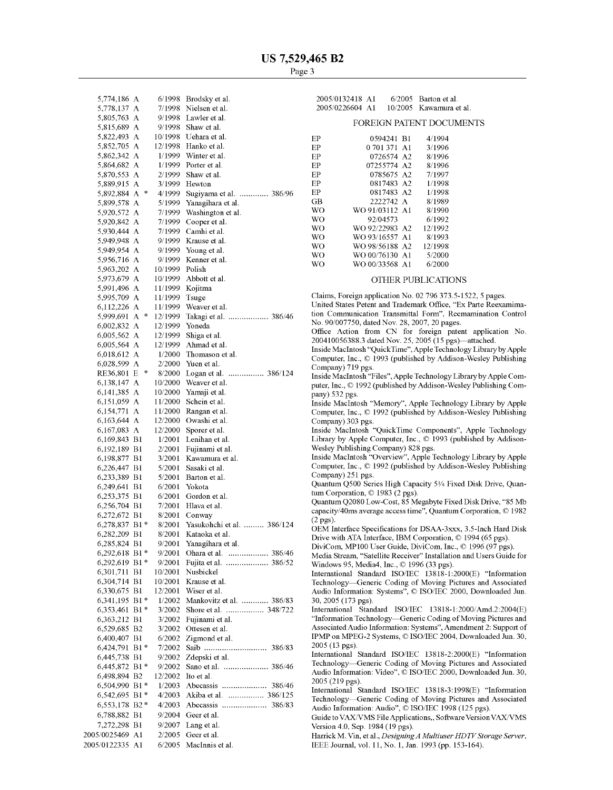| 5,774,186 A                   |                    | 6/1998             | Brodsky et al.                     |
|-------------------------------|--------------------|--------------------|------------------------------------|
| 5,778,137                     | А                  | 7/1998             | Nielsen et al.                     |
| 5,805,763                     | А                  | 9/1998             | Lawler et al.                      |
| 5,815,689                     | А                  | 9/1998             | Shaw et al.                        |
| 5,822,493 A<br>5,852,705 A    |                    | 10/1998<br>12/1998 | Uehara et al.<br>Hanko et al.      |
| 5,862,342 A                   |                    | 1/1999             | Winter et al.                      |
| 5,864,682 A                   |                    | 1/1999             | Porter et al.                      |
| 5,870,553 A                   |                    | 2/1999             | Shaw et al.                        |
| 5,889,915 A                   |                    | 3/1999             | Hewton                             |
| 5,892,884                     | $\ast$<br>А        | 4/1999             | Sugiyama et al.  386/96            |
| 5,899,578 A                   |                    | 5/1999             | Yanagihara et al.                  |
| 5,920,572 A                   |                    | 7/1999             | Washington et al.                  |
| 5,920,842 A                   |                    | 7/1999             | Cooper et al.                      |
| 5,930,444 A<br>5,949,948 A    |                    | 7/1999<br>9/1999   | Camhi et al.<br>Krause et al.      |
| 5,949,954 A                   |                    | 9/1999             | Young et al.                       |
| 5,956,716 A                   |                    | 9/1999             | Kenner et al.                      |
| 5,963,202 A                   |                    | 10/1999            | Polish                             |
| 5,973,679 A                   |                    | 10/1999            | Abbott et al.                      |
| 5,991,496 A                   |                    | 11/1999            | Kojitma                            |
| 5,995,709 A                   |                    | 11/1999            | Tsuge                              |
| 6,112,226 A                   |                    | 11/1999            | Weaver et al.                      |
| 5,999,691                     | $\frac{1}{2}$<br>А | 12/1999            | Takagi et al.  386/46              |
| 6,002,832 A                   |                    | 12/1999            | Yoneda                             |
| 6,005,562 A                   |                    | 12/1999            | Shiga et al.<br>Ahmad et al.       |
| 6,005,564 A<br>6,018,612 A    |                    | 12/1999<br>1/2000  | Thomason et al.                    |
| 6,028,599 A                   |                    | 2/2000             | Yuen et al.                        |
| RE36,801                      | $\frac{1}{2}$<br>Ε | 8/2000             | Logan et al.  386/124              |
| 6,138,147                     | А                  | 10/2000            | Weaver et al.                      |
| 6,141,385                     | A                  | 10/2000            | Yamaji et al.                      |
| 6,151,059 A                   |                    | 11/2000            | Schein et al.                      |
| 6,154,771                     | А                  | 11/2000            | Rangan et al.                      |
| 6,163,644                     | А                  | 12/2000            | Owashi et al.                      |
| 6,167,083                     | A                  | 12/2000            | Sporer et al.                      |
| 6,169,843 B1                  |                    | 1/2001             | Lenihan et al.                     |
| 6,192,189                     | B1                 | 2/2001             | Fujinami et al.                    |
| 6,198,877<br>6,226,447        | B1<br>B1           | 3/2001<br>5/2001   | Kawamura et al.<br>Sasaki et al.   |
| 6,233,389                     | B1                 | 5/2001             | Barton et al.                      |
| 6,249,641                     | B1                 | 6/2001             | Yokota                             |
| 6,253,375                     | B1                 | 6/2001             | Gordon et al.                      |
| 6,256,704 B1                  |                    | 7/2001             | Hlava et al.                       |
| 6,272,672                     | B1                 | 8/2001             | Conway                             |
| 6,278,837                     | B1 *               | 8/2001             | Yasukohchi et al.  386/124         |
| 6,282,209                     | B1                 | 8/2001             | Kataoka et al.                     |
| 6,285,824 B1                  |                    | 9/2001             | Yanagihara et al.                  |
| 6,292,618 B1*                 |                    | 9/2001             | Ohara et al.  386/46               |
| 6,292,619<br>6,301,711        | $B1*$<br>B1        | 9/2001<br>10/2001  | Fujita et al.  386/52<br>Nusbickel |
| 6,304,714                     | B1                 | 10/2001            | Krause et al.                      |
| 6,330,675                     | B1                 | 12/2001            | Wiser et al.                       |
| 6,341,195                     | $B1*$              | 1/2002             | Mankovitz et al.  386/83           |
| 6,353,461                     | B1 *               | 3/2002             | Shore et al.  348/722              |
| 6,363,212                     | B1                 | 3/2002             | Fujinami et al.                    |
| 6,529,685                     | B <sub>2</sub>     | 3/2002             | Ottesen et al.                     |
| 6,400,407                     | B1                 | 6/2002             | Zigmond et al.                     |
| 6,424,791                     | B1 *               | 7/2002             | Saib<br>386/83                     |
| 6,445,738 B1                  |                    | 9/2002             | Zdepski et al.                     |
| 6,445,872 B1*<br>6,498,894 B2 |                    | 9/2002<br>12/2002  | Sano et al.<br>Ito et al.          |
| 6,504,990                     | $B1*$              | 1/2003             | Abecassis  386/46                  |
| 6,542,695                     | B1 *               | 4/2003             | Akiba et al.  386/125              |
| 6,553,178 B2*                 |                    | 4/2003             |                                    |
| 6,788,882 B1                  |                    | 9/2004             | Geer et al.                        |
| 7,272,298 B1                  |                    | 9/2007             | Lang et al.                        |
| 2005/0025469 A1               |                    | 2/2005             | Geer et al.                        |
| 2005/0122335 A1               |                    | 6/2005             | MacInnis et al.                    |

| 2005/0132418 A1 |  | $6/2005$ Barton et al.  |
|-----------------|--|-------------------------|
| 2005/0226604 A1 |  | 10/2005 Kawamura et al. |

#### FOREIGN PATENT DOCUMENTS

| ЕP        | 0594241 B1         | 4/1994  |
|-----------|--------------------|---------|
| ЕP        | 0 701 371<br>- A 1 | 3/1996  |
| ЕP        | 0726574<br>- A 2   | 8/1996  |
| ЕP        | 07255774<br>A2.    | 8/1996  |
| ЕP        | 0785675 A2         | 7/1997  |
| EP        | 0817483 A2         | 1/1998  |
| EP        | 0817483 A2         | 1/1998  |
| GB        | 2222742 A          | 8/1989  |
| WΟ        | WO 91/03112 A1     | 8/1990  |
| <b>WO</b> | 92/04573           | 6/1992  |
| WO.       | WO 92/22983 A2     | 12/1992 |
| <b>WO</b> | WO 93/16557 A1     | 8/1993  |
| WO.       | WO 98/56188 A2     | 12/1998 |
| <b>WO</b> | WO 00/76130 A1     | 5/2000  |
| WΟ        | WO 00/33568 A1     | 6/2000  |

## OTHER PUBLICATIONS

Claims, Foreign application No. 02 796 373.5-1522, 5 pages.

United States Petent and Trademark Office, "Ex Parte Reexamimation Communication Transmittal Form", Reemamination Control No. 90/007750, dated Nov. 28, 2007, 20 pages.

Office Action from CN for foreign patent application No. 200410056388.3 dated Nov. 25, 2005 (15 pgs)—attached.

Inside MacIntosh "QuickTime", Apple Technology Library by Apple Computer, Inc., 0 1993 (published by Addison-Wesley Publishing Company) 719 pgs.

Inside MacIntosh "Files", Apple Technology Library by Apple Computer, Inc., 0 1992 (published by Addison-Wesley Publishing Company) 532 pgs.

Inside MacIntosh "Memory", Apple Technology Library by Apple Computer, Inc., © 1992 (published by Addison-Wesley Publishing Company) 303 pgs.

Inside MacIntosh "QuickTime Components", Apple Technology Library by Apple Computer, Inc., © 1993 (published by Addison-Wesley Publishing Company) 828 pgs.

Inside MacIntosh "Overview", Apple Technology Library by Apple Computer, Inc., © 1992 (published by Addison-Wesley Publishing Company) 251 pgs.

Quantum Q500 Series High Capacity 51/4 Fixed Disk Drive, Quantum Corporation, © 1983 (2 pgs).

Quantum 42080 Low-Cost, 85 Megabyte Fixed Disk Drive, "85 Mb capacity/40ms average access time", Quantum Corporation, © 1982  $(2 \text{ pos})$ .

OEM Interface Specifications for DSAA-3xxx, 3.5-Inch Hard Disk Drive with ATA Interface, IBM Corporation, © 1994 (65 pgs).

DiviCom, MP100 User Guide, DiviCom, Inc., © 1996 (97 pgs).

Media Stream, "Satellite Receiver" Installation and Users Guide for Windows 95, Media4, Inc., © 1996 (33 pgs).

International Standard ISO/IEC 13818-1:2000(E) "Information Technology-Generic Coding of Moving Pictures and Associated Audio Information: Systems", © ISO/IEC 2000, Downloaded Jun. 30,2005 (173 pgs).

International Standard ISO/IEC 13818-1:2000/Amd.2:2004(E) "Information Technology-Generic Coding of Moving Pictures and Associated Audio Information: Systems", Amendment 2: Support of IPMP on MPEG-2 Systems, © ISO/IEC 2004, Downloaded Jun. 30, 2005 (13 pgs).

International Standard ISO/IEC 13818-2:2000(E) "Information Technology-Generic Coding of Moving Pictures and Associated Audio Information: Video", © ISO/IEC 2000, Downloaded Jun. 30, 2005 (219 pgs).

International Standard ISOIIEC 13818-3:1998(E) "Information Technology-Generic Coding of Moving Pictures and Associated Audio Information: Audio", © ISO/IEC 1998 (125 pgs).

Guide to VAX/VMS File Applications,, Software Version VAX/VMS Version 4.0, Sep. 1984 (19 pgs).

Harrick M. Vin, et al., *Designing A Multiuser HDTV Storage Server*, IEEE Journal, vol. 11, No. 1, Jan. 1993 (pp. 153-164).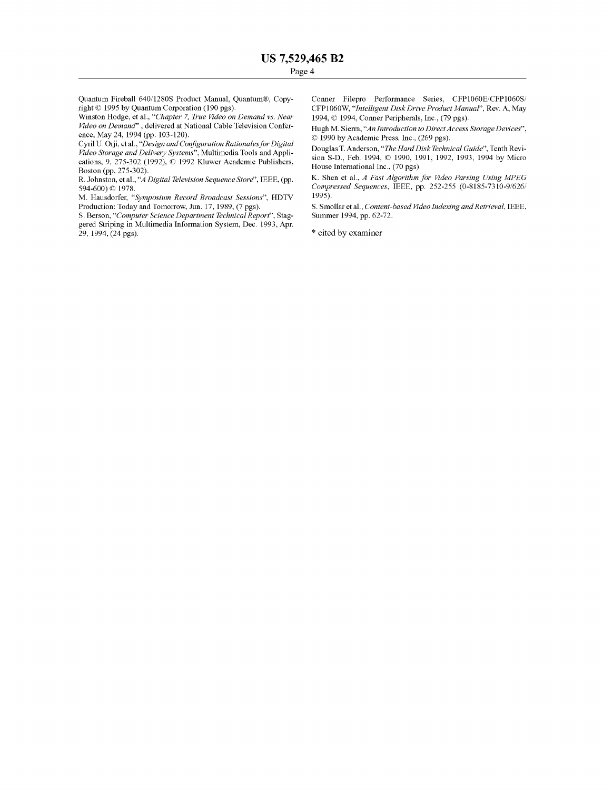Quantum Fireball 640/1280S Product Manual, Quantum®, Copyright © 1995 by Quantum Corporation (190 pgs).

Winston Hodge, et al., "Chapter 7, *True Video on Demand vs. Near Edeo on Demand"* , delivered at National Cable Television Conference, May 24, 1994 (pp. 103-120).

Cyril U. Orji, et al., "Design and Configuration Rationales for Digital *Edeo Storage and Delivery Systems",* Multimedia Tools and Applications, 9,  $\overline{275\text{-}302}$  (1992),  $\overline{\odot}$  1992 Kluwer Academic Publishers, Boston (pp. 275-302).

R. Johnston, et al., "*A Digital Television Sequence Store*", IEEE, (pp. 594-600) © 1978.

M. Hausdorfer, *"Symposium Record Broadcast Sessions",* HDTV Production: Today and Tomorrow, Jun. 17, 1989, (7 pgs).

S. Berson, *"Computer Science Department Technical Report",* Staggered Striping in Multimedia Information System, Dec. 1993, Apr. 29, 1994, (24 pgs).

Comer Filepro Performance Series, CFP1060E/CFP1060S/ CFP1060W, *"Intelligent Disk Drive Product Manual",* Rev. A, May 1994, 0 1994, Comer Peripherals, Inc., (79 pgs).

Hugh M. Sierra, "An Introduction to Direct Access Storage Devices", 0 1990 by Academic Press, Inc., (269 pgs).

Douglas T. Anderson, *"The Hard Disk Technical Guide",* Tenth Revision S-D., Feb. 1994, © 1990, 1991, 1992, 1993, 1994 by Micro House International Inc., (70 pgs).

K. Shen et al., *A Fast Algorithm for Video Parsing Using MPEG Compressed Sequences, IEEE, pp. 252-255 (0-8185-7310-9/626/* 1995).

S. Smollar et al., *Content-based Video Indexing and Retrieval*, IEEE, Summer 1994, pp. 62-72.

\* cited by examiner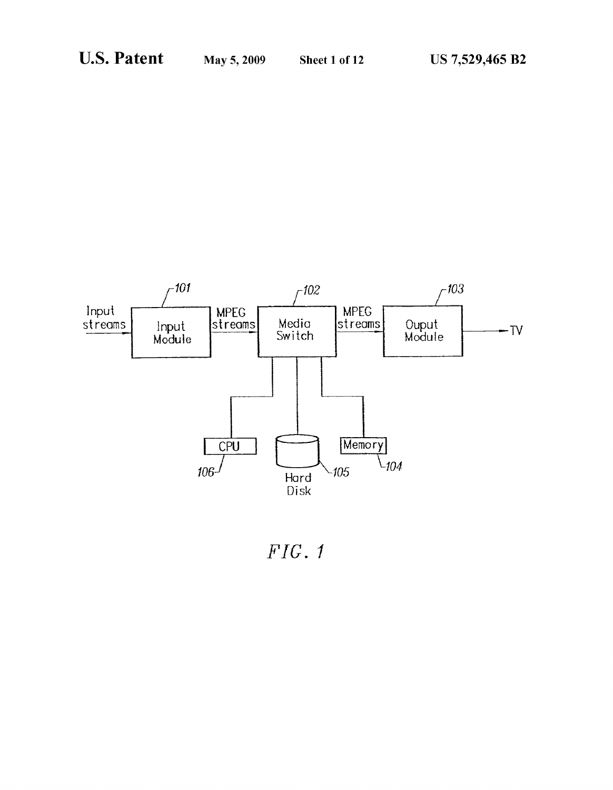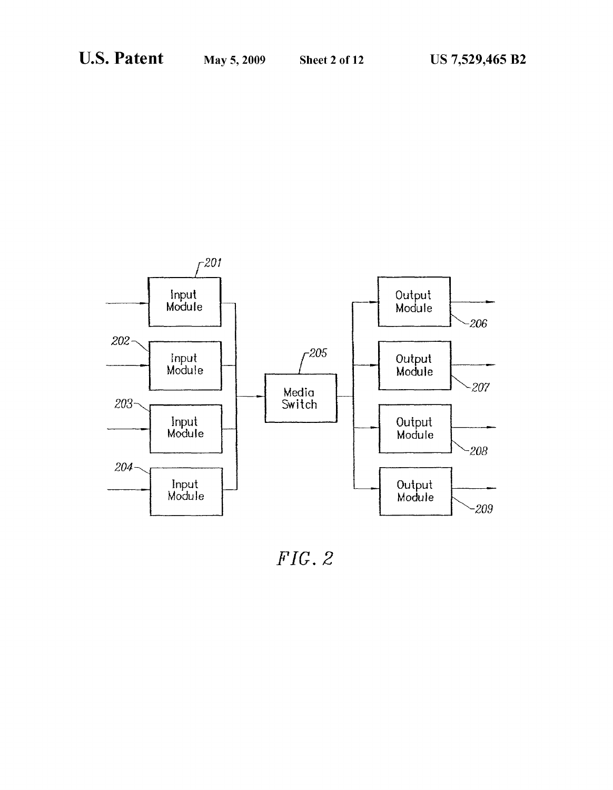

*FIG.* 2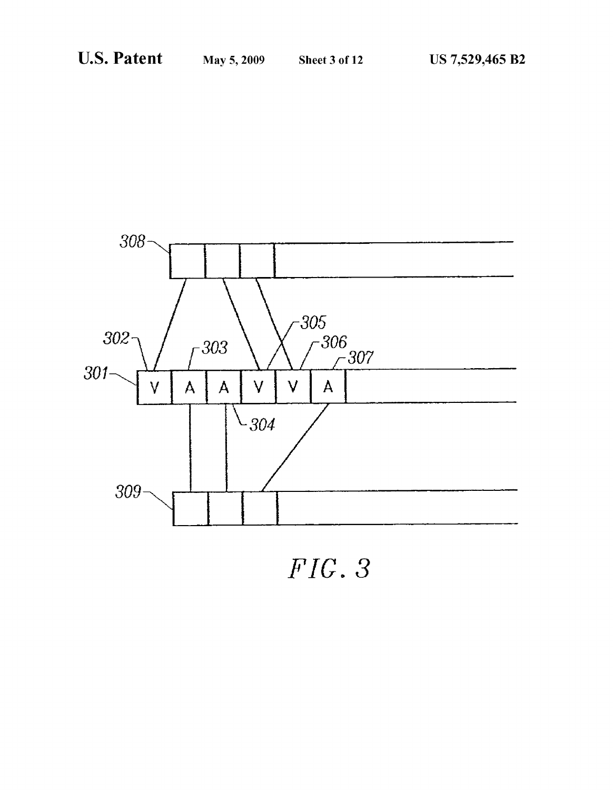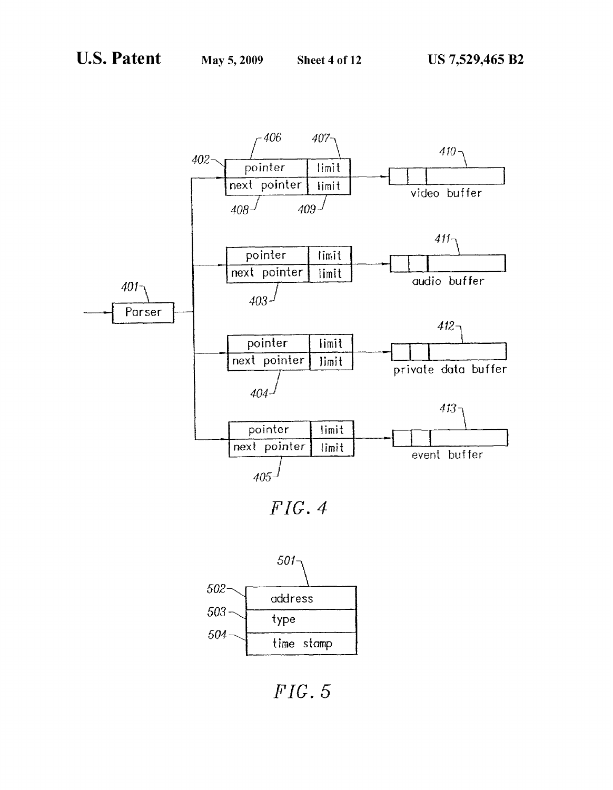

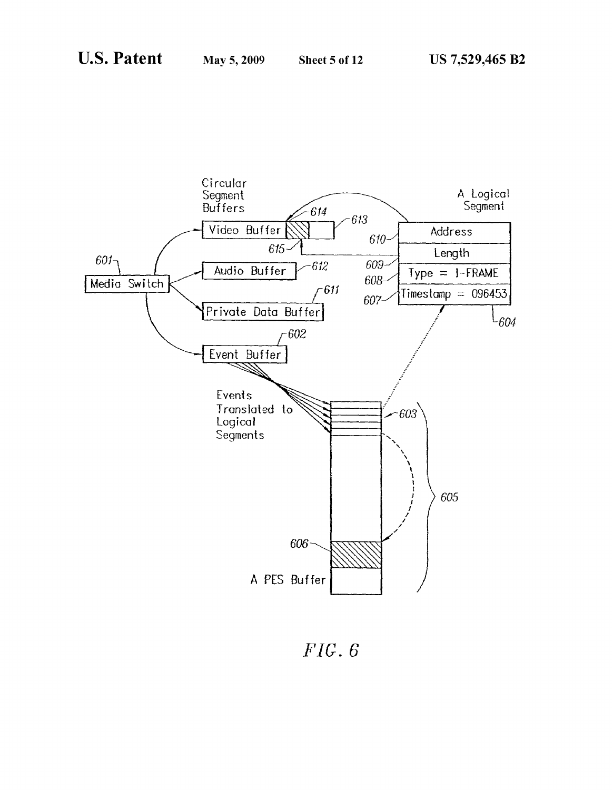

 $FIG. 6$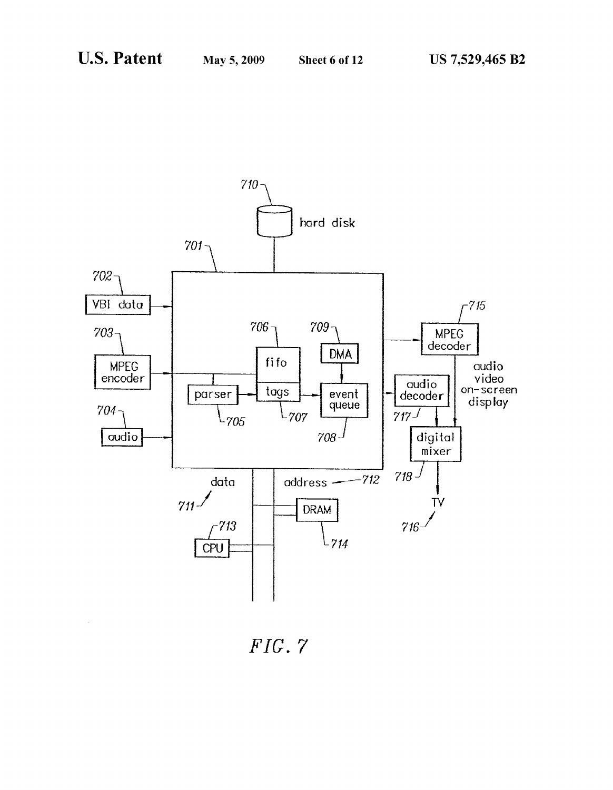

*FIG.* 7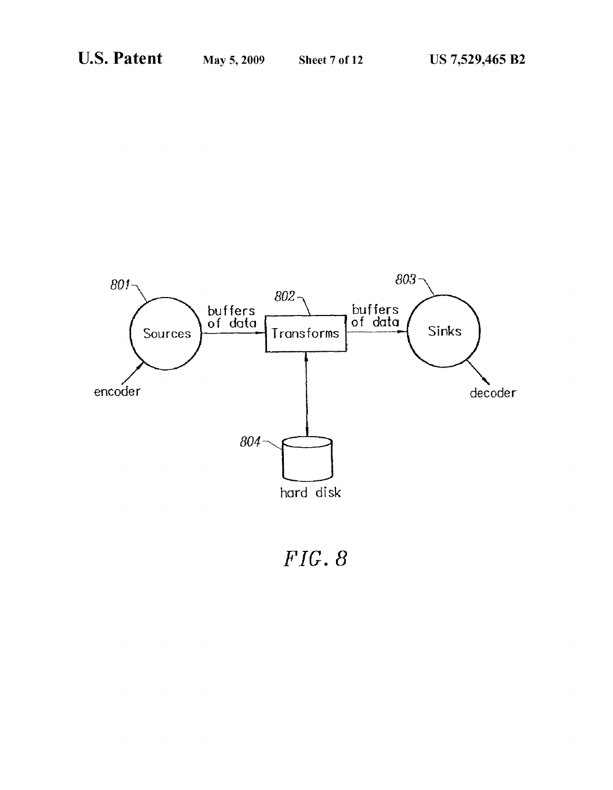

*FIG.* 8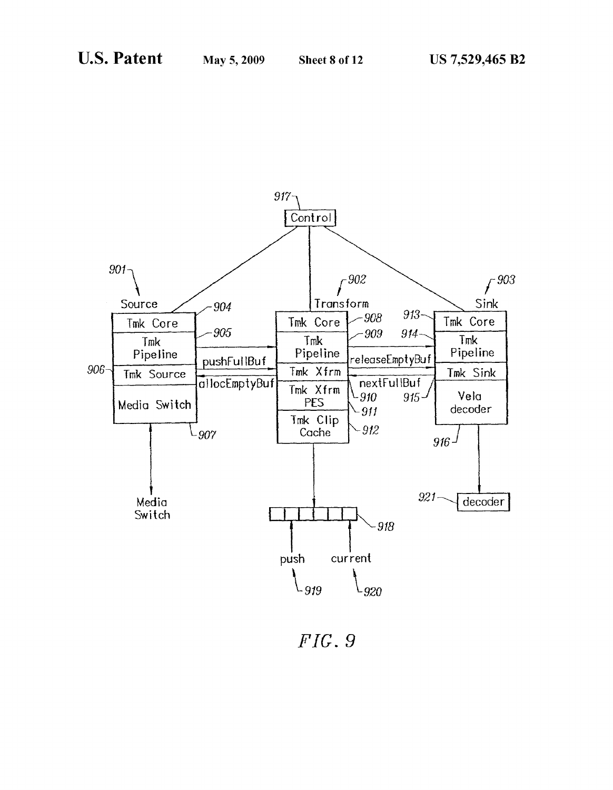

 $FIG. 9$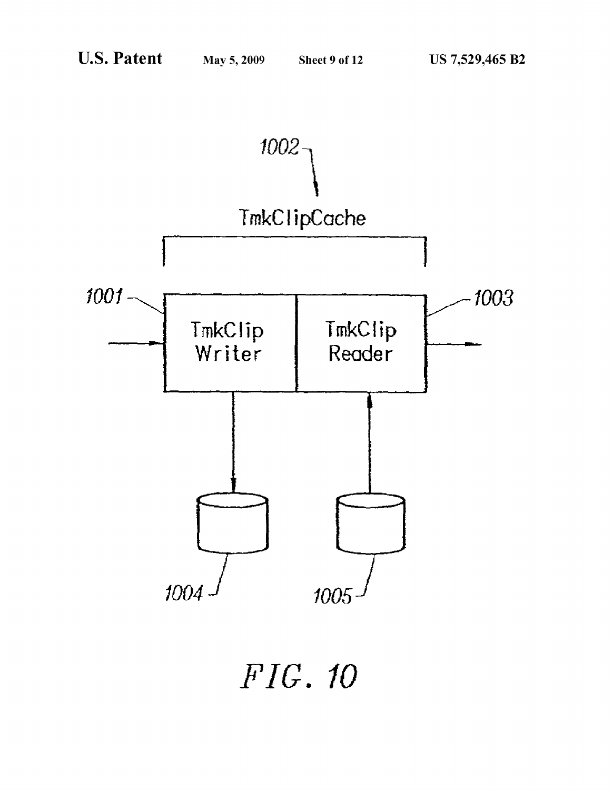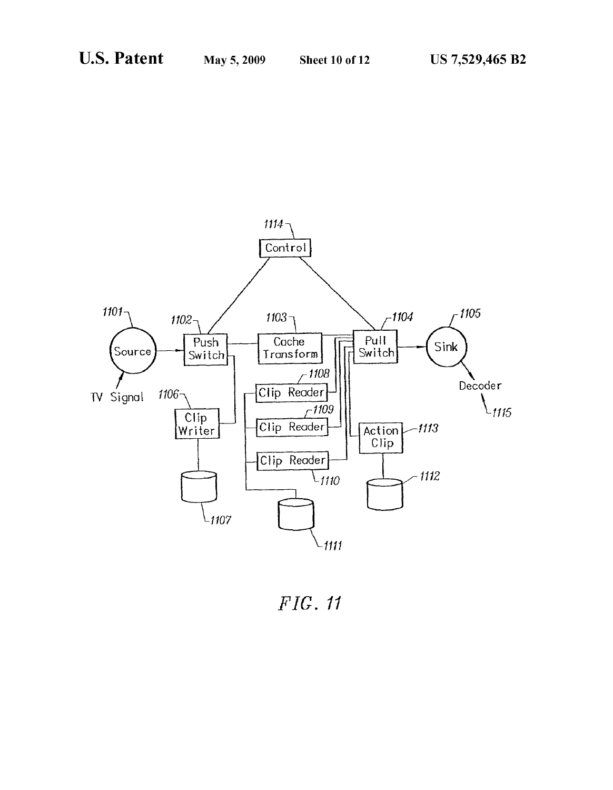

*FIG. I1*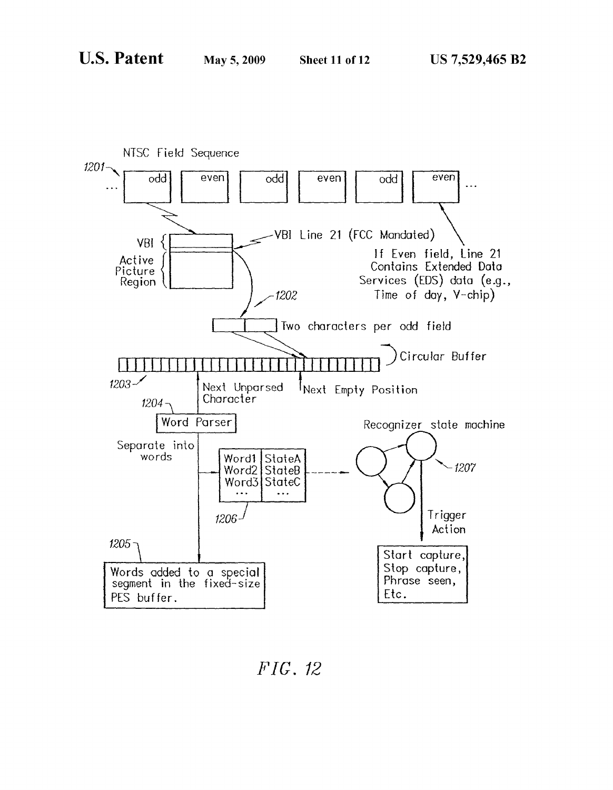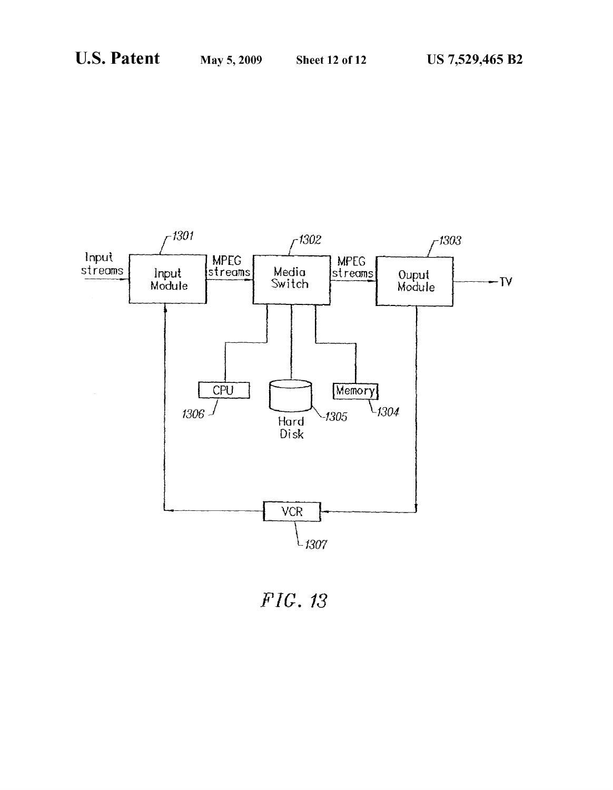

FIG. *13*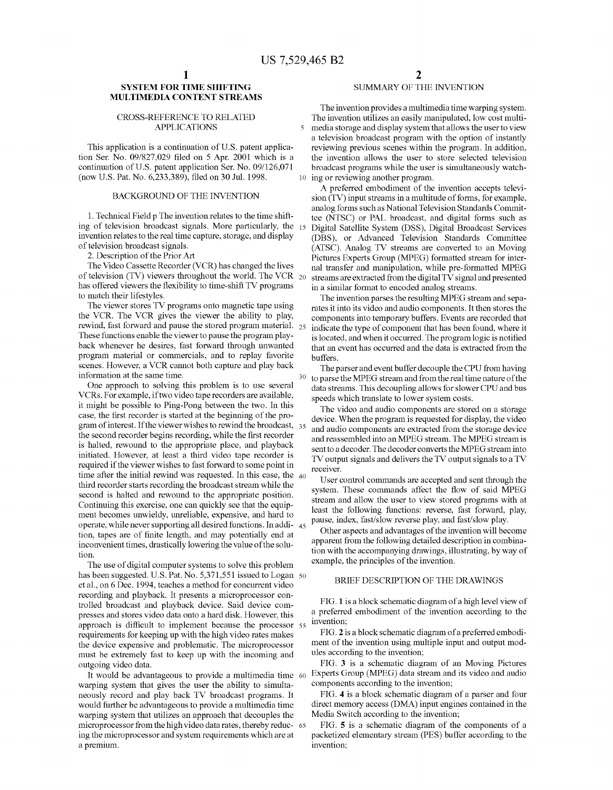## **SYSTEM FOR TIME SHIFTING SUMMARY OF THE INVENTION MULTIMEDIA CONTENT STREAMS**

tion Ser. No. 09/827,029 filed on 5 Apr. 2001 which is a the invention allows the user to store selected television continuation of U.S. patent application Ser. No. 09/126,071 broadcast programs while the user is simultane (now U.S. Pat. No.  $6,233,389$ ), filed on 30 Jul. 1998.

invention relates to the real time capture, storage, and display (DBS), or Advanced Television Standards Committee<br>(ATSC) Analog TV streams are converted to an Moving

The Video Cassette Recorder (VCR) has changed the lives nal transfer and manipulation, while pre-formatted MPEG of television (TV) viewers throughout the world. The VCR 20 streams are extracted from the digital TV signal a has offered viewers the flexibility to time-shift TV programs in a similar format to encoded analog streams.<br>to match their lifestyles. The invention parses the resulting MPEG stream and sepa-

the VCR. The VCR gives the viewer the ability to play, components into temporary buffers. Events are recorded that rewind, fast forward and pause the stored program material. 25 indicate the type of component that has been rewind, fast forward and pause the stored program material. 25 indicate the type of component that has been found, where it<br>These functions enable the viewer to pause the program play-<br>is located and when it occurred. The These functions enable the viewer to pause the program play-<br>back whenever he desires, fast forward through unwanted<br>that an event has occurred and the data is extracted from the program material or commercials, and to replay favorite buffers,<br>scenes. However, a VCR cannot both capture and play back There

One approach to solving this problem is to use several data streams. This decoupling allows for slower CPU and bus<br>VCRs. For example, if two video tape recorders are available, speeds which translate to lower system costs VCRs. For example, if two video tape recorders are available,<br>it might be possible to Ping-Pong between the two. In this The video and audio components are stored on a storage<br>case, the first recorder is started at the beg gram of interest. If the viewer wishes to rewind the broadcast, 35 and audio components are extracted from the storage device the second recorder begins recording, while the first recorder and reassembled into an MPEG stream, The MPEG stream is<br>and reassembled into an MPEG stream, The MPEG stream, The MPEG stream, The MPEG stream, The MPEG stream is halted, rewound to the appropriate place, and playback<br>initiated. However, at least a third video tape recorder is<br>required if the viewer wishes to fast forward to some point in<br>required if the viewer wishes to fast for operate, while never supporting all desired functions. In addi-<br>tion, tapes are of finite length, and may potentially end at Other aspects and advantages of the invention will become<br>incorrection and integration of the inv inconvenient times, drastically lowering the value of the solu-

The use of digital computer systems to solve this problem has been suggested. U.S. Pat. No. 5,371,551 issued to Logan 50 et al., on 6 Dec. 1994, teaches a method for concurrent video<br>BRIEF DESCRIPTION OF THE DRAWINGS recording and playback. It presents a microprocessor controlled broadcast and playback device, Said device com-<br>
FIG. 1 is a block schematic diagram of a high level view of<br>
neces and stores video data onto a bard disk. However, this presses and stores video data onto a hard disk. However, this a preferred embodiment of the invention according to the invention: approach is difficult to implement because the processor  $55^{\circ}$  invention;<br>requirements for keeping up with the high video rates makes FIG. 2 is a block schematic diagram of a preferred embodirequirements for keeping up with the high video rates makes the device expensive and problematic. The microprocessor ment of the invention using multiple input and output mod-<br>must be extremely fast to keep up with the incoming and ules according to the invention; must be extremely fast to keep up with the incoming and

It would be advantageous to provide a multimedia time  $60$  Experts Group (MPEG) data stream and its view and approximate and approximate and approximate and all  $\alpha$ warping system that gives the user the ability to simulta-<br>neously record and play back TV broadcast programs. It FIG. 4 is a block schematic diagram of a parser and four neously record and play back TV broadcast programs. It FIG. 4 is a block schematic diagram of a parser and four<br>would further be advantageous to provide a multimedia time direct memory access (DMA) input engines contained would further be advantageous to provide a multimedia time direct memory access (DMA) input engine<br>warping system that utilizes an approach that decouples the Media Switch according to the invention; warping system that utilizes an approach that decouples the Media Switch according to the invention;<br>microprocessor from the high video data rates, thereby reduc- 65 FIG. 5 is a schematic diagram of the components of a microprocessor from the high video data rates, thereby reduc- 65 FIG. 5 is a schematic diagram of the components of a<br>ing the microprocessor and system requirements which are at packetized elementary stream (PES) buffer ac ing the microprocessor and system requirements which are at a premium.  $i$  invention;

The invention provides a multimedia time warping system. CROSS-REFERENCE TO RELATED<br>APPLICATIONS 5 media storage and display system that allows the user to view media storage and display system that allows the user to view a television broadcast program with the option of instantly This application is a continuation of U.S. patent applica-<br>tion Ser. No. 09/827,029 filed on 5 Apr. 2001 which is a<br>the invention allows the user to store selected television broadcast programs while the user is simultaneously watch-<br>10 ing or reviewing another program.

A preferred embodiment of the invention accepts televi-BACKGROUND OF THE INVENTION sion (TV) input streams in a multitude of forms, for example, analog forms such as National Television Standards Commit-1. Technical Field p The invention relates to the time shift-<br>integral (MTSC) or PAL broadcast, and digital forms such as<br>ing of television broadcast signals. More particularly, the 15 Digital Satellite System (DSS), Digit television broadcast signals.<br>
2. Description of the Prior Art **Superior Converting Converting Converting Converted** to an Moving 2. Description of the Prior Art 2. Description of the Prior Art Pickures Experts Group (MPEG) formatted stream for inter-<br>2. The Video Cassette Recorder (VCR) has changed the lives and transfer and manimulation while pre-formatted MPEG streams are extracted from the digital TV signal and presented

The viewer stores TV programs onto magnetic tape using rates it into its video and audio components. It then stores the the VCR. The VCR gives the viewer the ability to play, components into temporary buffers. Events are r that an event has occurred and the data is extracted from the

scenes. However, a VCR cannot both capture and play back<br>information at the same time.<br>One approach to solving this problem is to use several data streams. This decoupling allows for slower CPU and bus

device. When the program is requested for display, the video

tion with the accompanying drawings, illustrating, by way of<br>tion.<br>The use of digital computer systems to solve this problem<br>example, the principles of the invention.

outgoing video data.<br>It would be advantageous to provide a multimedia time 60 Experts Group (MPEG) data stream and its video and audio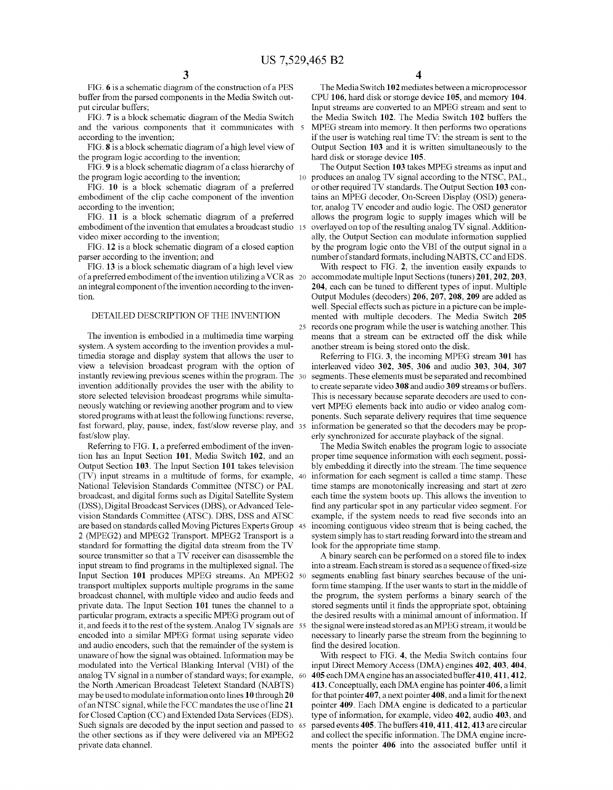and the various components that it communicates with  $\bar{s}$  according to the invention;

the program logic according to the invention;<br>
FIG. 9 is a block schematic diagram of a class hierarchy of The Output Section 103 takes MPEG streams as input and

FIG. **9** is a block schematic diagram of a class hierarchy of the program logic according to the invention;

embodiment of the clip cache component of the invention tains an MPEG decoder, On-Screen Display (OSD) genera-<br>tor, analog TV encoder and audio logic. The OSD generator

of a preferred embodiment of the invention utilizing a VCR as 20 anintegral component ofthe inventionaccording to the inven- **204,** each can be tuned to different types of input. Multiple tion. Output Modules (decoders) **206, 207, 208, 209** are added as

system. A system according to the invention provides a mul-<br>timedia storage and display system that allows the user to Referring to FIG. 3, the incoming MPEG timedia storage and display system that allows the user to<br>
Referring to FIG. **3**, the incoming MPEG stream **301** has<br>
view a television broadcast program with the option of interleaved video **302**, **305**, **306** and audio instantly reviewing previous scenes within the program. The 30 segments. These elements must be separated and recombined invention additionally provides the user with the ability to to create separate video 308 and audio 309 streams or buffers.<br>store selected television broadcast programs while simulta-<br>This is necessary because separate dec store selected television broadcast programs while simulta-<br>neously watching or reviewing another program and to view vert MPEG elements back into audio or video analog comneously watching or reviewing another program and to view vert MPEG elements back into audio or video analog com-<br>stored programs with at least the following functions: reverse, ponents. Such separate delivery requires tha stored programs with at least the following functions: reverse, ponents. Such separate delivery requires that time sequence fast forward, play, pause, index, fast/slow reverse play, and 35 information be generated so that fastlslow play. erly synchronized for accurate playback of the signal.

tion has an Input Section 101, Media Switch 102, and an proper time sequence information with each segment, possi-<br>Output Section 103. The Input Section 101 takes television bly embedding it directly into the stream. The t (TV) input streams in a multitude of forms, for example, 40 information for each segment is called a time stamp. These National Television Standards Committee (NTSC) or PAL time stamps are monotonically increasing and start at zero<br>broadcast, and digital forms such as Digital Satellite System each time the system boots up. This allows the broadcast, and digital forms such as Digital Satellite System each time the system boots up. This allows the invention to vision Standards Committee (ATSC). DBS, DSS and ATSC example, if the system needs to read five seconds into an are based on standards called Moving Pictures Experts Group 45 incoming contiguous video stream that is being cached, the 2 (MPEG2) and MPEG2 Transport. MPEG2 Transport is a system simply has to start reading forward into the stream and standard for formatting the digital data stream from the TV look for the appropriate time stamp. source transmitter so that a TV receiver can disassemble the A binary search can be performed on a stored file to index input stream to find programs in the multiplexed signal. The into a stream. Each stream is stored as a sequence of fixed-size Input Section **101** produces MPEG streams. An MPEG2 50 segments enabling fast binary searches because of the unitransport multiplex supports multiple programs in the same form time stamping. If the user wants to start in the middle of broadcast channel, with multiple video and audio feeds and the program, the system performs a binary search of the private data. The Input Section **101** tunes the channel to a stored segments until it finds the appropriate spot, obtaining particular program, extracts a specific MPEG program out of the desired results with a minimal amount of information. If it, and feeds it to the rest of the system. Analog TV signals are 55 the signal were instead storedas an MPEG stream, it would be and audio encoders, such that the remainder of the system is unaware of how the signal was obtained. Information may be modulated into the Vertical Blanking Interval (VBI) of the analog TV signal in a number of standard ways; for example, the North American Broadcast Teletext Standard (NABTS) may be used to modulate information onto lines **10** through **20**  of an NTSC signal, while the FCC mandates the use of line **21**  for Closed Caption (CC) and Extended Data Services (EDS). Such signals are decoded by the input section and passed to 65 the other sections as if they were delivered via an MPEG2

**3 4** 

FIG. 6 is a schematic diagram of the construction of a PES The Media Switch 102 mediates between a microprocessor buffer from the parsed components in the Media Switch out-<br>CPU 106, hard disk or storage device 105, and mem buffer from the parsed components in the Media Switch out- CPU **106,** hard disk or storage device **105,** and memory **104.**  put circular buffers;<br>FIG. 7 is a block schematic diagram of the Media Switch the Media Switch 102. The Media Switch 102 buffers the FIG. **7** is a block schematic diagram of the Media Switch the Media Switch **102.** The Media Switch **102** buffers the according to the invention; if the user is watching real time TV: the stream is sent to the FIG. 8 is a block schematic diagram of a high level view of Output Section 103 and it is written simultaneously to the Output Section 103 and it is written simultaneously to the

the program logic according to the invention; and the produces an analog TV signal according to the NTSC, PAL,<br>FIG. 10 is a block schematic diagram of a preferred or other required TV standards. The Output Section 103 con-FIG. **10** is a block schematic diagram of a preferred or other required TV standards. The Output Section **103** concording to the invention;<br>FIG. 11 is a block schematic diagram of a preferred allows the program logic to supply images which will be allows the program logic to supply images which will be embodiment of the invention that emulates a broadcast studio 15 overlayed on top of the resulting analog TV signal. Addition-<br>video mixer according to the invention;<br>ly, the Output Section can modulate information supplied deo mixer according to the invention;<br>FIG. 12 is a block schematic diagram of a closed caption by the program logic onto the VBI of the output signal in a by the program logic onto the VBI of the output signal in a parser according to the invention; and number of standard formats, including NABTS, CC and EDS.<br>FIG. 13 is a block schematic diagram of a high level view With respect to FIG. 2, the invention easily expands to

With respect to FIG. 2, the invention easily expands to accommodate multiple Input Sections (tuners) 201, 202, 203, well. Special effects such as picture in a picture can be imple-DETAILED DESCRIPTION OF THE INVENTION mented with multiple decoders. The Media Switch **205**  25 records one program while the user is watching another. This The invention is embodied in a multimedia time warping means that a stream can be extracted off the disk while

> interleaved video 302, 305, 306 and audio 303, 304, 307 information be generated so that the decoders may be prop-

Referring to FIG. 1, a preferred embodiment of the inven-<br>tion has an Input Section 101, Media Switch 102, and an proper time sequence information with each segment, possibly embedding it directly into the stream. The time sequence find any particular spot in any particular video segment. For

> necessary to linearly parse the stream from the beginning to find the desired location.

With respect to FIG. **4,** the Media Switch contains four input Direct Memory Access (DMA) engines **402,403, 404,**  60 **405** each DMA engine has an associatedbuffer **410,411,412, 413.** Conceptually, each DMA engine has pointer **406,** a limit for that pointer **407,** a next pointer **408,** and a limit forthenext pointer **409.** Each DMA engine is dedicated to a particular type of information, for example, video **402,** audio **403,** and 65 parsedevents **405.** The buffers **410,411,412,413** are circular and collect the specific information. The DMA engine increprivate data channel. ments the pointer **406** into the associated buffer until it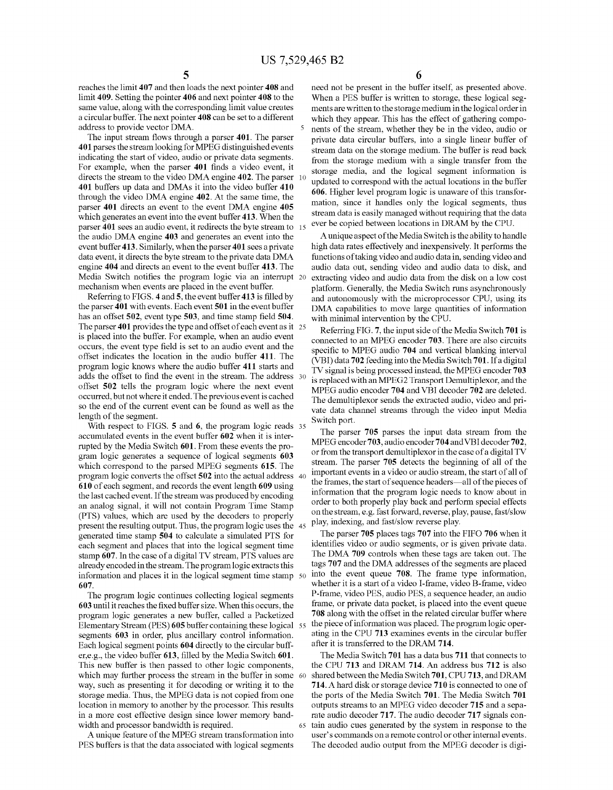reaches the limit 407 and then loads the next pointer 408 and need not be present in the buffer itself, as presented above.<br>
limit 409. Setting the pointer 406 and next pointer 408 to the When a PES buffer is written to st same value, along with the corresponding limit value creates ments are written to the storage medium in the logical order in a circular buffer. The next pointer **408** can be set to a different which they appear. This has the effect of gathering compo-<br>address to provide vector DMA.

The input stream flows through a parser 401. The parser<br>401 parses the stream looking for MPEG distinguished events<br>indicating the start of video, audio or private data segments.<br>6. From the storage medium with a single tr indicating the start of video, audio or private data segments. From the storage medium with a single transfer from the Forexample, when the parser 401 finds a video event, it For example, when the parser **401** linds a video event, it storage media, and the logical segment information is directs the stream to the video DMA engine **402**. The parser 10 and the late of each of the stream to the lat directs the stream to the video DMA engine **402**. The parser 10 updated to correspond with the actual locations in the buffer 401 buffers up data and DMAs it into the video buffer 410 401 buffers up data and DMAs it into the video buffer **410** 606. Higher level program logic is unaware of this transfor-<br>through the video DMA engine **402**. At the same time, the mation, since it handles only the logical s parser 401 directs an event to the event DMA engine 405 **mation, since it handles only the logical segments**, thus stream data is easily managed without requiring that the data which generates an event into the event buffer **413**. When the Stream data is easily managed without requiring that the data is easily managed without requiring that the data is easily managed without requiring that the da parser 401 sees an audio event, it redirects the byte stream to is ever be copied between locations in DRAM by the CPU.<br>the audio DMA engine 403 and generates an event into the Aunique aspect of the Media Switch is the abi the audio DMA engine 403 and generates an event into the event buffer **413.** Similarly, when the parser **401** sees aprivate high data rates effectively and inexpensively. It performs the data event, it directs the byte stream to the private data DMA functions of taking video and audio data in, sending video and engine 404 and directs an event to the event buffer 413. The audio data out, sending video and a engine **404** and directs an event to the event buffer **413.** The audio data out, sending video and audio data to disk, and

Referring to FIGS. 4 and 5, the event buffer 413 is filled by and autonomously with the microprocessor CPU, using its the parser 401 with events. Each event 501 in the event buffer DMA capabilities to move large quantities has an offset **502**, event type **503**, and time stamp field **504**. The parser **401** provides the type and offset of each event as it 25 The parser **401** provides the type and offset of each event as it 25 Referring FIG, **7,** the input side of the Media Switch **701** is is placed into the buffer. For example, when an audio event<br>occurs, the event type field is set to an audio event and the<br>opecific to MPEG audio 704 and vertical blanking interval occurs, the event type net is set to an audio event and the<br>offset indicates the location in the audio buffer 411. The<br>program logic knows where the audio buffer 411 starts and<br> $\frac{VBI}{TV}$  signal is being program and the M program logic knows where the audio burier 411 starts and<br>adds the offset to find the event in the stream. The address 30 is replaced with an MPEG2 Transport Demultiplexor, and the offset **502** tells the program logic where the next event MPEG audio encoder **704** and VBI decoder **702** and VBI decoder **704** and VBI decoder **704** and VBI decoder **704** and VBI decoder **704** and vBI decoder **702** are del occurred, but not where it ended. The previous event is cached The demultiplexor sends the extracted audio, video and pri-<br>so the end of the current event can be found as well as the the data abannel streams through the vi

accumulated events in the event buffer **602** when it is inter-<br>The parser 703 parses the input data stream from the part of the part of the street 703, audio encoder 704 and VBI decoder 702, rupted by the Media Switch 601. From these events the pro-<br>or from the transport demultiplexor in the case of a digital TV<br>or from the transport demultiplexor in the case of a digital TV gram logic generates a sequence of logical segments **603** or from the transport demultiplexor in the case of a digital TV<br>which correspond to the parsed MPEG segments **615** The stream. The parser **705** detects the beginnin which correspond to the parsed MPEG segments **615**. The stream. The parser 705 detects the beginning of all of the parser part of all of the partial of the setual address the important events in a video or audio stream, th program logic converts the offset  $\frac{502}{2}$  into the actual address  $\frac{40}{2}$  events in a video or audio stream, the start of an or  $\frac{610}{2}$  of each sequence of  $\frac{610}{2}$  of each secure of research and records the **610** of each segment, and records the event length **609** using the last cached event. If the stream was produced by encoding an analog signal, it will not contain Program Time Stamp order to both properly play back and perform special effects<br>(DTS) values, which are used by the decoders to recognity on the stream, e.g. fast forward, reverse, pla (PTS) values, which are used by the decoders to properly on the stream, e.g. fast forward, reverse, play, present the resulting output. Thus, the program logic uses the  $\lambda$ s play, indexing, and fast/slow reverse play. present the resulting output. Thus, the program logic uses the  $45$  play, indexing, and fast/siow reverse play.<br>
generated time stamp 504 to calculate a simulated PTS for The parser 705 places tags 707 into the FIFO 706 w generated time stamp **504** to calculate a simulated PTS for The Parser **705** places tags **707** into the FIFO **706** when it each segment and places that into the logical segment time<br>stamp of a divital TV stream PTS values are The DMA 709 controls when these tags are taken out. The stamp **607.** In the case of a digital TV stream, PTS values are The DMA **709** controls when these tags are taken out. The already encoded in the stream. The program logic extracts this tags 707 and the DMA addresses of the segments are placed<br>information and places it in the logical segment time stamp 50 into the event queue 708. The frame ty information and places it in the logical segment time stamp 50

**603** until it reaches the fixed buffer size. When this occurs, the frame, or private data packet, is placed into the event queue<br>**108** along with the offset in the related circular buffer where program logic generates a new buffer, called a packetized **708** along with the offset in the related circular buffer where Elementary Stream (PES) 605 buffer containing these logical 55 the piece of information was placed. The program logic oper-<br>segments 603 in order, plus ancillary control information, ating in the CPU 713 examines events in segments **603** in order, plus ancillary control information. ating in the CPU 713 examines events in the circular buffered in the circular buffered to the DRAM 714. Each logical segment points **604** directly to the circular buffer,e.g., the video buffer **613,** filled by the Media Switch **601.** The Media Switch **701** has a data bus **711** that connects to This new buffer is then passed to other logic components, the CPU **713** and DRAM **714.** An address bus **712** is also which may further process the stream in the buffer in some 60 way, such as presenting it for decoding or writing it to the **714.** A hard disk or storage device **710** is connected to one of storage media. Thus, the MPEG data is not copied from one the ports of the Media Switch **701.** The Media Switch **701**  location in memory to another by the processor. This results outputs streams to an MPEG video decoder 715 and a sepa-

PES buffers is that the data associated with logical segments The decoded audio output from the MPEG decoder is digi-

When a PES buffer is written to storage, these logical segdress to provide vector DMA.<br>The input stream flows through a parser 401. The parser rivate data circular buffers into a single linear buffer of

Media Switch notifies the program logic via an interrupt 20 extracting video and audio data from the disk on a low cost mechanism when events are placed in the event buffer.<br>
platform. Generally, the Media Switch runs asyn echanism when events are placed in the event buffer.<br>
Referring to FIGS. 4 and 5, the event buffer 413 is filled by and autonomously with the microprocessor CPU, using its DMA capabilities to move large quantities of information with minimal intervention by the CPU.

so the end of the current event can be found as well as the vate data channel streams through the video input Media length of the segment.<br>With respect to FIGS. **5** and **6**, the program logic reads 35<br>Witch port.<br>The parse

information that the program logic needs to know about in order to both properly play back and perform special effects

**607. 607. https://whether it is a start of a video I-frame, video B-frame, video The program logic continues collecting logical segments P-frame, video PES, audio PES, a sequence header, an audio** P-frame, video PES, audio PES, a sequence header, an audio frame, or private data packet, is placed into the event queue

in a more cost effective design since lower memory band-<br>width and processor bandwidth is required.<br>65 tain audio cues generated by the system in response to the dth and processor bandwidth is required. <sup>65</sup> tain audio cues generated by the system in response to the A unique feature of the MPEG stream transformation into user's commands on a remote control or other internal events. user's commands on a remote control or other internal events.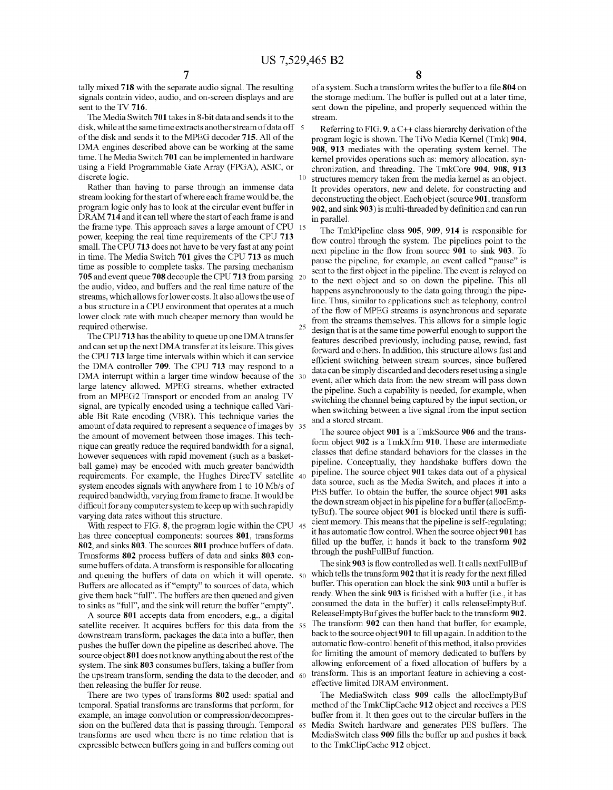25

tally mixed **718** with the separate audio signal. The resulting signals contain video, audio, and on-screen displays and are sent to the TV **716.** 

The Media Switch **701** takes in 8-bit data and sends it to the disk, while at the same time extracts another stream of data off of the disk and sends it to the MPEG decoder **715.** All of the DMA engines described above can be working at the same time. The Media Switch **701** can be implemented in hardware using a Field Programmable Gate Array (FPGA), ASIC, or discrete logic.

Rather than having to parse through an immense data stream looking for the start ofwhere each frame would be, the program logic only has to look at the circular event buffer in DRAM **714** and it can tell where the start of each frame is and the frame type. This approach saves a large amount of CPU power, keeping the real time requirements of the CPU **713**  small. The CPU **713** does not have to be very fast at any point in time. The Media Switch **701** gives the CPU **713** as much time as possible to complete tasks. The parsing mechanism **705** and event queue **708** decouple the CPU **713** from parsing the audio, video, and buffers and the real time nature of the streams, whichallows for lower costs. It also allows the use of a bus structure in a CPU environment that operates at a much lower clock rate with much cheaper memory than would be required otherwise.

The CPU **713** has the ability to queue up one DMA transfer and can set up the next DMA transfer at its leisure. This gives the CPU **713** large time intervals within which it can service the DMA controller **709.** The CPU **713** may respond to a DMA interrupt within a larger time window because of the 30 large latency allowed. MPEG streams, whether extracted from an MPEG2 Transport or encoded from an analog TV signal, are typically encoded using a technique called Variable Bit Rate encoding (VBR). This technique varies the amount of data required to represent a sequence of images by the amount of movement between those images. This technique can greatly reduce the required bandwidth for a signal, however sequences with rapid movement (such as a basketball game) may be encoded with much greater bandwidth requirements. For example, the Hughes DirecTV satellite 40 system encodes signals with anywhere from 1 to 10 Mb/s of required bandwidth, varying from frame to frame. It would be difficult for any computer system to keep up with suchrapidly varying data rates without this structure.

With respect to FIG. **8**, the program logic within the CPU 45 has three conceptual components: sources **801,** transforms **802,** and sinks **803.** The sources **801** produce buffers of data. Transforms **802** process buffers of data and sinks **803** consume buffers of data. A transform is responsible for allocating and queuing the buffers of data on which it will operate. Buffers are allocated as if "empty" to sources of data, which give them back "full". The buffers are then queued and given to sinks as "full", and the sink will return the buffer "empty".

A source **801** accepts data from encoders, e.g., a digital satellite receiver. It acquires buffers for this data from the 55 downstream transform, packages the data into a buffer, then pushes the buffer down the pipeline as described above. The source object 801 does not know anything about the rest of the system. The sink **803** consumes buffers, taking a buffer from the upstream transform, sending the data to the decoder, and 60 then releasing the buffer for reuse.

There are two types of transforms **802** used: spatial and temporal. Spatial transforms are transforms that perform, for example, an image convolution or compression/decompression on the buffered data that is passing through. Temporal transforms are used when there is no time relation that is expressible between buffers going in and buffers coming out

of a system. Such a transform writes the buffer to a file **804** on the storage medium. The buffer is pulled out at a later time, sent down the pipeline, and properly sequenced within the stream.

Referring to FIG. **9,** a C++ class hierarchy derivation of the program logic is shown. The TiVo Media Kernel (Tmk) **904, 908, 913** mediates with the operating system kernel. The kernel provides operations such as: memory allocation, synchronization, and threading. The TmkCore **904, 908, 913**  structures memory taken from the media kernel as an object. It provides operators, new and delete, for constructing and deconstructing the object. Each object (source **901,** transform **902,** and sink **903)** is multi-threaded by definition and can run in parallel.

The TmkPipeline class **905, 909, 914** is responsible for flow control through the system. The pipelines point to the next pipeline in the flow from source **901** to sink **903.** To pause the pipeline, for example, an event called "pause" is sent to the first object in the pipeline. The event is relayed on to the next object and so on down the pipeline. This all happens asynchronously to the data going through the pipeline. Thus, similar to applications such as telephony, control of the flow of MPEG streams is asynchronous and separate from the streams themselves. This allows for a simple logic design that is at the same time powerful enough to support the features described previously, including pause, rewind, fast forward and others. In addition, this structure allows fast and efficient switching between stream sources, since buffered data can be simply discarded and decoders reset using a single event, after which data from the new stream will pass down the pipeline. Such a capability is needed, for example, when switching the channel being captured by the input section, or when switching between a live signal from the input section and a stored stream.

The source object **901** is a TmkSource **906** and the transform object **902** is a TmkXfrm **910.** These are intermediate classes that define standard behaviors for the classes in the pipeline. Conceptually, they handshake buffers down the pipeline. The source object **901** takes data out of a physical data source, such as the Media Switch, and places it into a PES buffer. To obtain the buffer, the source object **901** asks the down stream object in his pipeline for a buffer (allocEmptyBuf). The source object **901** is blocked until there is sufficient memory. This means that the pipeline is self-regulating; it has automatic flow control. When the source object **901** has filled up the buffer, it hands it back to the transform **902**  through the pushFullBuf function.

The sink **903** is flow controlled as well. It calls nextFullBuf which tells the transform **902** that it is ready for the next filled buffer. This operation can block the sink **903** until a buffer is ready. When the sink **903** is finished with a buffer (i.e., it has consumed the data in the buffer) it calls releaseEmptyBuf. ReleaseEmptyBuf gives the buffer back to the transform **902.**  The transform **902** can then hand that buffer, for example, back to the source object **901** to fill up again. In addition to the automatic flow-control benefit of this method, it also provides for limiting the amount of memory dedicated to buffers by allowing enforcement of a fixed allocation of buffers by a transform. This is an important feature in achieving a costeffective limited DRAM environment.

The MediaSwitch class **909** calls the allocEmptyBuf method of the TmkClipCache **912** object and receives a PES buffer from it. It then goes out to the circular buffers in the Media Switch hardware and generates PES buffers. The MediaSwitch class **909** fills the buffer up and pushes it back to the TmkClipCache **912** object.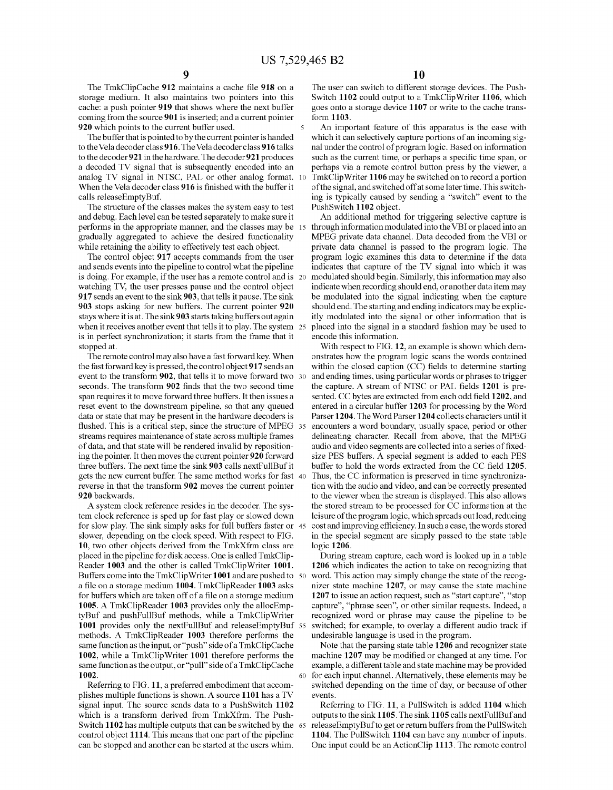cache: a push pointer **919** that shows where the next buffer goes onto a storage device 1107 or write to the cache trans-<br>coming from the source **901** is inserted; and a current pointer form **1103**. coming from the source 901 is inserted; and a current pointer 920 which points to the current buffer used.

to the decoder **921** in the hardware. The decoder **921** produces such as the current time, or perhaps a specific time span, or a decoded TV signal that is subsequently encoded into an perhaps via a remote control button pr analog TV signal in NTSC, PAL or other analog format. 10 When the Vela decoder class 916 is finished with the buffer it When the Vela decoder class **916** is finished with the buffer it of the signal, and switched off at some later time. This switch-<br>calls releaseEmptyBuf. **in the state of the signally caused** by sending a "switch" event to

The structure of the classes makes the system easy to test and debug. Each level can be tested separately to make sure it performs in the appropriate manner, and the classes may be 15 through information modulated into the VBI or placed into an gradually aggregated to achieve the desired functionality MPEG private data channel. Data decoded f gradually aggregated to achieve the desired functionality MPEG private data channel. Data decoded from the VBI or while retaining the ability to effectively test each object. The private data channel is passed to the progr

The control object **917** accepts commands from the user and sends events into the pipeline to control what the pipeline is doing. For example, if the user has a remote control and is 20 watching TV, the user presses pause and the control object indicate when recording should end, or another data item may **917** sends an event to the sink **903**, that tells it pause. The sink be modulated into the signal indicating when the capture **903** stops asking for new buffers. The current pointer **920** should end. The starting and endi stays where it is at. The sink 903 starts taking buffers out again itly modulated into the signal or other information that is when it receives another event that tells it to play. The system 25 placed into the signal in a standard fashion may be used to is in perfect synchronization; it starts from the frame that it encode this information.<br>stopped at. With respect to FIG. 1

event to the transform **902**, that tells it to move forward two 30 and ending times, using particular words or phrases to trigger seconds. The transform **902** finds that the two second time the capture. A stream of NTSC or PAL fields **1201** is pre-<br>span requires it to move forward three buffers. It then issues a sented. CC bytes are extracted from ea span requires it to move forward three buffers. It then issues a sented. CC bytes are extracted from each odd field 1202, and reset event to the downstream pipeline, so that any queued entered in a circular buffer 1203 for reset event to the downstream pipeline, so that any queued entered in a circular buffer 1203 for processing by the Word data or state that may be present in the hardware decoders is Parser 1204. The Word Parser 1204 collec flushed. This is a critical step, since the structure of MPEG 35 streams requires maintenance of state across multiple frames delineating character. Recall from above, that the MPEG of data, and that state will be rendered invalid by reposition-<br>ing the pointer. It then moves the current pointer 920 forward size PES buffers. A special segment is added to each PES ing the pointer. It then moves the current pointer **920** forward size PES buffers. A special segment is added to each PES gets the new current buffer. The same method works for fast 40 Thus, the CC information is preserved in time synchronizareverse in that the transform 902 moves the current pointer tion with the audio and video, and can be correctly presented<br>1920 backwards.<br>1920 backwards.

tem clock reference is sped up for fast play or slowed down leisure of the program logic, which spreads out load, reducing for slow play. The sink simply asks for full buffers faster or 45 cost and improving efficiency. In such a case, the words stored slower, depending on the clock speed. With respect to FIG. in the special segment are simply passed to the state table 10, two other objects derived from the TmkXfrm class are logic 1206. **10**, two other objects derived from the TmkXfrm class are placed in the pipeline for disk access. One is called TmkClip- During stream capture, each word is looked up in a table Reader **1003** and the other is called TmkClipWriter **1001. 1206** which indicates the action to take on recognizing that Buffers come into the TmkClipWriter **1001** and are pushed to 50 word. This action may simply change the state of the recoga file on a storage medium **1004.** TmkClipReader **1003** asks nizer state machine **1207,** or may cause the state machine for buffers which are taken off of a file on a storage medium **1207** to issue an action request, such as "start capture", "stop **1005.** A TmkClipReader **1003** provides only the allocEmp- capture", "phrase seen", or other similar requests. Indeed, a tyBuf and pushFullBuf methods, while a TmkClipWriter recognized word or phrase may cause the pipeline to be 1001 provides only the nextFullBuf and releaseEmptyBuf 55 switched; for example, to overlay a different audio trac **1001** provides only the nextFullBuf and releaseEmptyBuf 55 switched; for example, to overlay a different methods. A TmkClipReader **1003** therefore performs the undesirable language is used in the program. methods. A TmkClipReader 1003 therefore performs the same function as the input, or "push" side of a TmkClipCache Note that the parsing state table **1206** and recognizer state **1002,** while a TmkClipWriter **1001** therefore performs the machine **1207** may be modified or changed at any time. For same function as the output, or "pull" side of a TmkClipCache example, a different table and state machine may be provided **1002.** 60 for each input channel. Alternatively, these elements may be

plishes multiple functions is shown. A source **1101** has a TV events. signal input. The source sends data to a Pushswitch **1102** Referring to FIG. **11,** a Pullswitch is added **1104** which which is a transform derived from TmkXfrm. The Push-<br>Switch 1102 has multiple outputs that can be switched by the 65 release Empty Buf to get or return buffers from the PullSwitch control object **1114.** This means that one part of the pipeline **1104.** The PullSwitch **1104** can have any number of inputs.

The TmkClipCache **912** maintains a cache file **918** on a The user can switch to different storage devices. The Push-<br>storage medium. It also maintains two pointers into this Switch 1102 could output to a TmkClipWriter 1106 Switch 1102 could output to a TmkClipWriter 1106, which

**920** which points to the current buffer used. 5 **An** important feature of this apparatus is the ease with The buffer that is pointed to by the current pointer is handed which it can selectively capture portions of an inco The buffer that is pointed to by the current pointer is handed which it can selectively capture portions of an incoming sig-<br>to the Vela decoder class 916. The Vela decoder class 916 talks nal under the control of program nal under the control of program logic. Based on information perhaps via a remote control button press by the viewer, a TmkClipWriter 1106 may be switched on to record a portion ing is typically caused by sending a "switch" event to the PushSwitch 1102 object.

> An additional method for triggering selective capture is private data channel is passed to the program logic. The program logic examines this data to determine if the data indicates that capture of the TV signal into which it was modulated should begin. Similarly, this information may also should end. The starting and ending indicators may be explic-

stopped at.<br>The remote control may also have a fast forward key. When one order to FIG. 12, an example is shown which dem-<br>Strates how the program logic scans the words contained The remote control may also have a fast forward key. When onstrates how the program logic scans the words contained<br>the fast forward key is pressed, the control object 917 sends an within the closed caption (CC) fields to within the closed caption (CC) fields to determine starting Parser 1204. The Word Parser 1204 collects characters until it encounters a word boundary, usually space, period or other buffer to hold the words extracted from the CC field 1205. to the viewer when the stream is displayed. This also allows A system clock reference resides in the decoder. The sys- the stored stream to be processed for CC information at the

Referring to FIG. **11,** a preferred embodiment that accom- switched depending on the time of day, or because of other

releaseEmptyBuf to get or return buffers from the PullSwitch can be stopped and another can be started at the users whim. One input could be an Actionclip **1113.** The remote control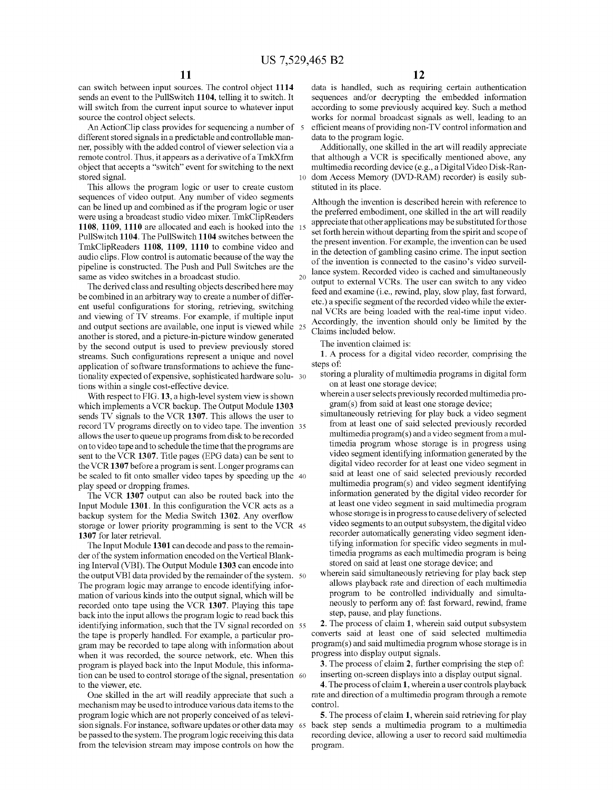will switch from the current input source to whatever input according to some previously acquired key. Such a method

different stored signals in a predictable and controllable man-<br>
ner, possibly with the added control of viewer selection via a<br>
Additionally, one skilled in the art will readily appreciate ner, possibly with the added control of viewer selection via a remote control. Thus, it appears as a derivative of a TmkXfrm that although a VCR is specifically mentioned above, any object that accepts a "switch" event for switching to the next multimedia recording device (e.g., a Dig object that accepts a "switch" event for switching to the next multimedia recording device (e.g., a Digital Video Disk-Ran-<br>10 dom Access Memory (DVD-RAM) recorder) is easily sub-

This allows the program logic or user to create custom stituted in its place.<br>
sequences of video output. Any number of video segments sequences of video output. Any number of video segments<br>can be lined up and combined as if the program logic or user<br>were using a broadcast studio video mixer. TmkClipReaders<br>appreciate that other applications may be subst **1108, 1109, 1110** are allocated and each is hooked into the 15 appreciate that other applications may be substituted for those PullSwitch 1104 switches between the substantial state of the spirit and scope of the intensit

another is stored, and a picture-in-picture window generated<br>by the second output is used to preview previously stored<br>streams. Such configurations represent a unique and povel<br>1. A process for a digital video recorder, co streams. Such configurations represent a unique and novel  $1. A$  Properties of a digital video recorder represent a digital video recorder of software transformations to achieve the func application of software transformations to achieve the functionality expected of expensive, sophisticated hardware solu-<br>tions within a single cost-effective device<br>on at least one storage device;<br>on at least one storage device; tions within a single cost-effective device.<br>With respect to EIG 13 a bigh-level system view is shown wherein a user selects previously recorded multimedia pro-

With respect to FIG, 13, a high-level system view is shown wherein a user selects previously recorded multin<br>inch implements a VCR backup. The Output Module 1303 gram(s) from said at least one storage device; which implements a VCR backup. The Output Module 1303 gram(s) from said at least one storage device;<br>simultaneously retrieving for play back a video segment sends TV signals to the VCR 1307. This allows the user to simultaneously retrieving for play back a video segment<br>record TV programs directly on to video tape. The invention 35 from at least one of said selected previously record TV programs directly on to video tape. The invention 35 from at least one of said selected previously recorded<br>allows the user to queue un programs from disk to be recorded multimedia program(s) and a video segment allows the user to queue up programs from disk to be recorded multimedia program(s) and a video segment from a mul-<br>on to video tape and to schedule the time that the programs are timedia program whose storage is in progre on to video tape and to schedule the time that the programs are timedia program whose storage is in progress using<br>sent to the VCR 1307 Title pages (FPG data) can be sent to video segment identifying information generated sent to the VCR 1307. Title pages (EPG data) can be sent to video segment identifying information generated by the<br>the VCR 1307 before a program is sent I onger programs can digital video recorder for at least one video se the VCR 1307 before a program is sent. Longer programs can digital video recorder for at least one video segment in<br>he scaled to fit onto smaller video tapes by speeding up the 40 said at least one of said selected previou be scaled to fit onto smaller video tapes by speeding up the  $40$ 

Input Module 1301. In this configuration the VCR acts as a at least one video segment in said multimedia program<br>hackup system for the Media Switch 1302, Any overflow whose storage is in progress to cause delivery of selec backup system for the Media Switch 1302. Any overflow whose storage is in progress to cause delivery of selected<br>storage or lower priority programming is sent to the VCR 45 video segments to an output subsystem, the digita storage or lower priority programming is sent to the VCR 45 **1307** for later retrieval. **1307** for later retrieval. **recorder automatically generating video segment iden-**

der of the system information encoded on the Vertical Blank-<br>timedia programs as each multimedia program<br>stored on said at least one storage device; and<br> $\frac{1}{2}$  stored on said at least one storage device; and ing Interval (VBI). The Output Module 1303 can encode into stored on said at least one storage device; and<br>the output VBI data provided by the remainder of the system 50 wherein said simultaneously retrieving for play back the output VBI data provided by the remainder of the system.  $50$  wherein said simultaneously retrieving for play back step<br>The program logic may arrange to encode identifying infor-<br>allows playback rate and direction of The program logic may arrange to encode identifying infor-<br>mation of various kinds into the output signal which will be a program to be controlled individually and simultamation of various kinds into the output signal, which will be program to be controlled individually and simulta-<br>recorded onto tape using the VCR 1307 Playing this tape neously to perform any of: fast forward, rewind, fram recorded onto tape using the VCR 1307. Playing this tape neously to perform any of fast hack into the input allows the program logic to read back this step, pause, and play functions. back into the input allows the program logic to read back this step, pause, and play functions.<br>
identifying information, such that the TV signal recorded on 55 2. The process of claim 1, wherein said output subsystem identifying information, such that the TV signal recorded on 55 **2**. The process of claim **1**, wherein said output subsystem<br>the tape is properly handled. For example, a particular pro-<br>converts said at least one of said s the tape is properly handled. For example, a particular pro-<br>onverts said at least one of said selected multimedia<br>program may be recorded to tape along with information about<br>program(s) and said multimedia program whose s gram may be recorded to tape along with information about program(s) and said multimedia prog<br>when it was recorded, the source network, etc. When this progress into display output signals. when it was recorded, the source network, etc. When this progress into display output signals.<br>
program is played back into the Input Module, this informa.<br>
3. The process of claim 2, further comprising the step of: program is played back into the Input Module, this informa-<br>tion can be used to control storage of the signal, presentation 60 inserting on-screen displays into a display output signal. tion can be used to control storage of the signal, presentation 60

mechanism may be used to introduce various data items to the control. program logic which are not properly conceived of as televi- **5.** The process of claim **1,** wherein said retrieving for play sion signals. For instance, software updates or other data may 65 be passed to the system. The program logic receiving this data recording device, allowing a user to record said multimedia from the television stream may impose controls on how the program.

can switch between input sources. The control object 1114 data is handled, such as requiring certain authentication sends an event to the PullSwitch 1104, telling it to switch. It sequences and/or decrypting the embedded i sequences and/or decrypting the embedded information source the control object selects.<br>An ActionClip class provides for sequencing a number of  $\overline{s}$  efficient means of providing non-TV control information and efficient means of providing non-TV control information and data to the program logic.

10 dom Access Memory (DVD-RAM) recorder) is easily sub-

FullSwitch 1104. The PullSwitch 1104 switches between the<br>
PullSwitch 1104. The PullSwitch 1104 switches between the<br>
private of the present invention. For example, the invention can be used<br>
mults attention of gambling ca

- 
- 
- play speed or dropping frames.<br>The VCR 1307 output can also be routed back into the information generated by the digital video recorder for The VCR 1307 output can also be routed back into the information generated by the digital video recorder for<br>https://www.mut.Module.1301 In this configuration the VCR acts as a least one video segment in said multimedia pr The Input Module **1301** can decode and pass to the remain-<br>
The Input Module **1301** can decode and pass to the remain-<br> **The Input Module 1301** can decode and pass to the remain-<br> **The Input Module 1301** can decode and pas
	-

to the viewer, etc.<br>
One skilled in the art will readily appreciate that such a rate and direction of a multimedia program through a remote rate and direction of a multimedia program through a remote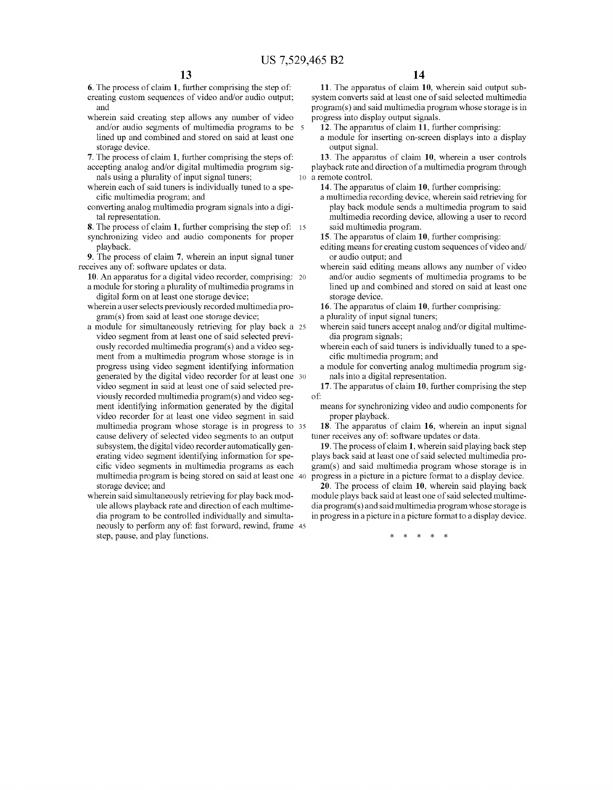- 
- wherein said creating step allows any number of video progress into display output signals.<br>and/or audio segments of multimedia programs to be  $\,$  s  $\,$  12. The apparatus of claim 11, further comprising: and/or audio segments of multimedia programs to be lined up and combined and stored on said at least one storage device.<br> **7.** The process of claim 1, further comprising the steps of:
- 
- accepting analog and/or digital multimedia program sig-<br>nals using a plurality of input signal tuners;<br> $\frac{10}{\pi}$  a remote control. nals using a plurality of input signal tuners;<br>herein each of said tuners is individually tuned to a spe-**14**. The apparatus of claim 10, further comprising:
- wherein each of said tuners is individually tuned to a specific multimedia program; and
- converting analog multimedia program signals into a digital representation.
- **8.** The process of claim **1**, further comprising the step of: 15 said multimedia program.<br>synchronizing video and audio components for proper **15**. The apparatus of claim **10**, further comprising: synchronizing video and audio components for proper playback.

**9.** The process of claim 7, wherein an input signal tuner receives any of: software updates or data.

- **10.** An apparatus for a digital video recorder, comprising: 20
- digital form on at least one storage device;<br>
herein a user selects previously recorded multimedia pro-<br> **16**. The apparatus of claim 10, further comprising: wherein a user selects previously recorded multimedia program(s) from said at least one storage device; a plurality of input signal tuners;
- a module for simultaneously retrieving for play back a 25 wherein said tuners accept analog andor digital multimevideo segment from at least one of said selected previ-<br>ously recorded multimedia program(s) and a video seg-<br>wherein each of said tu ment from a multimedia program whose storage is in progress using video segment identifying information generated by the digital video recorder for at least one 30 nals into a digital representation. video segment in said at least one of said selected pre-<br>viously recorded multimedia program(s) and video seg-<br>of: viously recorded multimedia program(s) and video seg-<br>ment identifying information generated by the digital video recorder for at least one video segment in said proper playback.<br>multimedia program whose storage is in progress to 35 **18**. The apparatus of claim 16, wherein an input signal multimedia program whose storage is in progress to 35 cause delivery of selected video segments to an output tuner receives any of: software updates or data.<br>subsystem, the digital video recorder automatically gen-<br>19. The process of claim 1, wherein said play.
- neously to perform any of: fast forward, rewind, frame 45 step, pause, and play functions.  $* * * * *$

**6.** The process of claim **1**, further comprising the step of: **11.** The apparatus of claim **10**, wherein said output sub-creating custom sequences of video and/or audio output; system converts said at least one of said se system converts said at least one of said selected multimedia and program(s) and said multimedia program whose storage is in<br>herein said creating step allows any number of video progress into display output signals.

- 
- a module for inserting on-screen displays into a display output signal.

**7. 13.** The apparatus of claim **10**, wherein a user controls playback rate and direction of a multimedia program through

a multimedia recording device, wherein said retrieving for play back module sends a multimedia program to said multimedia recording device, allowing a user to record

- editing means for creating custom sequences of video and/<br>or audio output; and
- wherein said editing means allows any number of video and/or audio segments of multimedia programs to be a module for storing a plurality of multimedia programs in lined up and combined and stored on said at least one digital form on at least one storage device.

- 
- wherein each of said tuners is individually tuned to a specific multimedia program; and
- a module for converting analog multimedia program sig-

means for synchronizing video and audio components for proper playback.

subsystem, the digital video recorder automatically gen-<br> **19.** The process of claim 1, wherein said playing back step<br>
erating video segment identifying information for spe-<br>
plays back said at least one of said selected erating video segment identifying information for spe-<br>cific video segments in multimedia programs as each gram(s) and said multimedia program whose storage is in cific video segments in multimedia programs as each gram(s) and said multimedia program whose storage is in multimedia program is being stored on said at least one 40 progress in a picture in a picture format to a display progress in a picture in a picture format to a display device.

storage device; and **20.** The process of claim **10,** wherein said playing back herein said simultaneously retrieving for play back mod-<br>ule allows playback rate and direction of each multime-<br>dia program(s) and said multimedia program whose storage is dia program(s) and said multimedia program whose storage is dia program to be controlled individually and simulta- in progress in a picture in a picture format to a display device.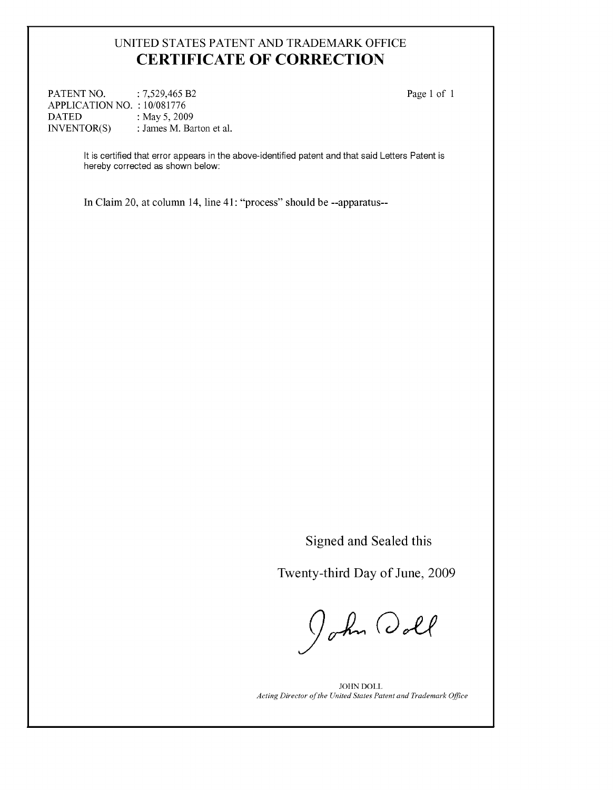## UNITED STATES PATENT AND TRADEMARK OFFICE **CERTIFICATE OF CORRECTION**

PATENT NO. : 7,529,465 B2 APPLICATION NO. : 10/081776<br>DATED : May 5, 200 DATED : May 5, 2009<br>INVENTOR(S) : James M. Ba : James M. Barton et al. Page 1 of 1

It is certified that error appears in the above-identified patent and that said Letters Patent is hereby corrected as shown below:

In Claim 20, at column 14, line 41 : "process" should be --apparatus--

Signed and Sealed this

Twenty-third Day of June, 2009

John Doll

JOHN DOLL *Acting Director of the United States Patent and Trademark Ofice*